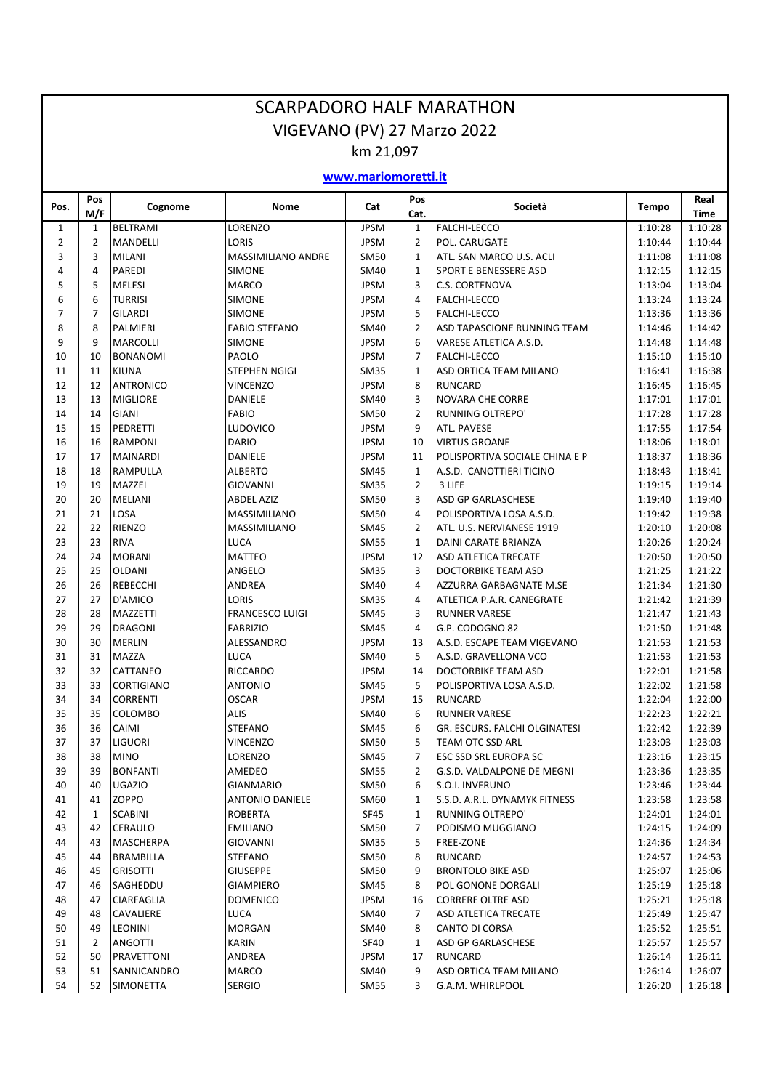|                |                |                                | <b>SCARPADORO HALF MARATHON</b>     |                            |                |                                                          |                    |                    |
|----------------|----------------|--------------------------------|-------------------------------------|----------------------------|----------------|----------------------------------------------------------|--------------------|--------------------|
|                |                |                                | VIGEVANO (PV) 27 Marzo 2022         |                            |                |                                                          |                    |                    |
|                |                |                                |                                     | km 21,097                  |                |                                                          |                    |                    |
|                |                |                                |                                     | www.mariomoretti.it        |                |                                                          |                    |                    |
| Pos.           | Pos<br>M/F     | Cognome                        | Nome                                | Cat                        | Pos<br>Cat.    | Società                                                  | Tempo              | Real<br>Time       |
| 1              | $\mathbf{1}$   | <b>BELTRAMI</b>                | LORENZO                             | <b>JPSM</b>                | 1              | <b>FALCHI-LECCO</b>                                      | 1:10:28            | 1:10:28            |
| $\overline{2}$ | $\overline{2}$ | <b>MANDELLI</b>                | <b>LORIS</b>                        | <b>JPSM</b>                | $\overline{2}$ | POL. CARUGATE                                            | 1:10:44            | 1:10:44            |
| 3<br>4         | 3<br>4         | <b>MILANI</b><br><b>PAREDI</b> | MASSIMILIANO ANDRE<br>SIMONE        | <b>SM50</b><br><b>SM40</b> | 1<br>1         | ATL. SAN MARCO U.S. ACLI<br><b>SPORT E BENESSERE ASD</b> | 1:11:08<br>1:12:15 | 1:11:08<br>1:12:15 |
| 5              | 5              | <b>MELESI</b>                  | <b>MARCO</b>                        | <b>JPSM</b>                | 3              | <b>C.S. CORTENOVA</b>                                    | 1:13:04            | 1:13:04            |
| 6              | 6              | <b>TURRISI</b>                 | <b>SIMONE</b>                       | <b>JPSM</b>                | 4              | <b>FALCHI-LECCO</b>                                      | 1:13:24            | 1:13:24            |
| 7              | $\overline{7}$ | <b>GILARDI</b>                 | <b>SIMONE</b>                       | <b>JPSM</b>                | 5              | <b>FALCHI-LECCO</b>                                      | 1:13:36            | 1:13:36            |
| 8              | 8              | PALMIERI                       | <b>FABIO STEFANO</b>                | SM40                       | $\overline{2}$ | ASD TAPASCIONE RUNNING TEAM                              | 1:14:46            | 1:14:42            |
| 9              | 9              | <b>MARCOLLI</b>                | SIMONE                              | <b>JPSM</b>                | 6              | VARESE ATLETICA A.S.D.                                   | 1:14:48            | 1:14:48            |
| 10             | 10             | <b>BONANOMI</b>                | PAOLO                               | <b>JPSM</b>                | 7              | <b>FALCHI-LECCO</b>                                      | 1:15:10            | 1:15:10            |
| 11             | 11             | <b>KIUNA</b>                   | <b>STEPHEN NGIGI</b>                | <b>SM35</b>                | 1              | ASD ORTICA TEAM MILANO                                   | 1:16:41            | 1:16:38            |
| 12             | 12             | <b>ANTRONICO</b>               | <b>VINCENZO</b>                     | <b>JPSM</b>                | 8              | <b>RUNCARD</b>                                           | 1:16:45            | 1:16:45            |
| 13             | 13             | <b>MIGLIORE</b>                | DANIELE                             | <b>SM40</b>                | 3              | <b>NOVARA CHE CORRE</b>                                  | 1:17:01            | 1:17:01            |
| 14             | 14             | <b>GIANI</b>                   | <b>FABIO</b>                        | <b>SM50</b>                | $\overline{2}$ | <b>RUNNING OLTREPO'</b>                                  | 1:17:28            | 1:17:28            |
| 15             | 15             | PEDRETTI                       | <b>LUDOVICO</b>                     | <b>JPSM</b>                | 9              | <b>ATL. PAVESE</b>                                       | 1:17:55            | 1:17:54            |
| 16             | 16             | <b>RAMPONI</b>                 | <b>DARIO</b>                        | <b>JPSM</b>                | 10             | <b>VIRTUS GROANE</b>                                     | 1:18:06            | 1:18:01            |
| 17             | 17             | <b>MAINARDI</b>                | DANIELE                             | <b>JPSM</b>                | 11             | POLISPORTIVA SOCIALE CHINA E P                           | 1:18:37            | 1:18:36            |
| 18             | 18             | <b>RAMPULLA</b>                | <b>ALBERTO</b>                      | <b>SM45</b>                | 1              | A.S.D. CANOTTIERI TICINO                                 | 1:18:43            | 1:18:41            |
| 19             | 19             | <b>MAZZEI</b>                  | <b>GIOVANNI</b>                     | <b>SM35</b>                | $\overline{2}$ | 3 LIFE                                                   | 1:19:15            | 1:19:14            |
| 20             | 20             | <b>MELIANI</b>                 | <b>ABDEL AZIZ</b>                   | <b>SM50</b>                | 3              | <b>ASD GP GARLASCHESE</b>                                | 1:19:40            | 1:19:40            |
| 21<br>22       | 21<br>22       | <b>LOSA</b><br><b>RIENZO</b>   | <b>MASSIMILIANO</b><br>MASSIMILIANO | <b>SM50</b>                | 4<br>2         | POLISPORTIVA LOSA A.S.D.                                 | 1:19:42<br>1:20:10 | 1:19:38<br>1:20:08 |
| 23             | 23             | <b>RIVA</b>                    | LUCA                                | <b>SM45</b><br><b>SM55</b> | 1              | ATL. U.S. NERVIANESE 1919<br>DAINI CARATE BRIANZA        | 1:20:26            | 1:20:24            |
| 24             | 24             | <b>MORANI</b>                  | <b>MATTEO</b>                       | <b>JPSM</b>                | 12             | <b>ASD ATLETICA TRECATE</b>                              | 1:20:50            | 1:20:50            |
| 25             | 25             | <b>OLDANI</b>                  | ANGELO                              | <b>SM35</b>                | 3              | DOCTORBIKE TEAM ASD                                      | 1:21:25            | 1:21:22            |
| 26             | 26             | <b>REBECCHI</b>                | ANDREA                              | SM40                       | 4              | AZZURRA GARBAGNATE M.SE                                  | 1:21:34            | 1:21:30            |
| 27             | 27             | D'AMICO                        | <b>LORIS</b>                        | <b>SM35</b>                | 4              | ATLETICA P.A.R. CANEGRATE                                | 1:21:42            | 1:21:39            |
| 28             | 28             | <b>MAZZETTI</b>                | <b>FRANCESCO LUIGI</b>              | <b>SM45</b>                | 3              | <b>RUNNER VARESE</b>                                     | 1:21:47            | 1:21:43            |
| 29             | 29             | <b>DRAGONI</b>                 | <b>FABRIZIO</b>                     | <b>SM45</b>                | 4              | G.P. CODOGNO 82                                          | 1:21:50            | 1:21:48            |
| 30             | 30             | <b>MERLIN</b>                  | ALESSANDRO                          | <b>JPSM</b>                | 13             | A.S.D. ESCAPE TEAM VIGEVANO                              | 1:21:53            | 1:21:53            |
| 31             | 31             | <b>MAZZA</b>                   | <b>LUCA</b>                         | <b>SM40</b>                | 5              | A.S.D. GRAVELLONA VCO                                    | 1:21:53            | 1:21:53            |
| 32             | 32             | <b>CATTANEO</b>                | <b>RICCARDO</b>                     | <b>JPSM</b>                | 14             | <b>DOCTORBIKE TEAM ASD</b>                               | 1:22:01            | 1:21:58            |
| 33             | 33             | <b>CORTIGIANO</b>              | <b>ANTONIO</b>                      | <b>SM45</b>                | 5              | POLISPORTIVA LOSA A.S.D.                                 | 1:22:02            | 1:21:58            |
| 34             | 34             | <b>CORRENTI</b>                | <b>OSCAR</b>                        | <b>JPSM</b>                | 15             | <b>RUNCARD</b>                                           | 1:22:04            | 1:22:00            |
| 35             | 35             | <b>COLOMBO</b>                 | <b>ALIS</b>                         | <b>SM40</b>                | 6              | <b>RUNNER VARESE</b>                                     | 1:22:23            | 1:22:21            |
| 36<br>37       | 36             | <b>CAIMI</b>                   | <b>STEFANO</b><br><b>VINCENZO</b>   | SM45                       | 6<br>5         | GR. ESCURS. FALCHI OLGINATESI                            | 1:22:42            | 1:22:39            |
| 38             | 37<br>38       | <b>LIGUORI</b><br><b>MINO</b>  | LORENZO                             | SM50<br>SM45               | 7              | TEAM OTC SSD ARL<br><b>ESC SSD SRL EUROPA SC</b>         | 1:23:03<br>1:23:16 | 1:23:03<br>1:23:15 |
| 39             | 39             | <b>BONFANTI</b>                | AMEDEO                              | SM55                       | 2              | G.S.D. VALDALPONE DE MEGNI                               | 1:23:36            | 1:23:35            |
| 40             | 40             | <b>UGAZIO</b>                  | <b>GIANMARIO</b>                    | <b>SM50</b>                | 6              | S.O.I. INVERUNO                                          | 1:23:46            | 1:23:44            |
| 41             | 41             | <b>ZOPPO</b>                   | ANTONIO DANIELE                     | SM60                       | 1              | S.S.D. A.R.L. DYNAMYK FITNESS                            | 1:23:58            | 1:23:58            |
| 42             | $\mathbf{1}$   | <b>SCABINI</b>                 | <b>ROBERTA</b>                      | SF45                       | 1              | <b>RUNNING OLTREPO'</b>                                  | 1:24:01            | 1:24:01            |
| 43             | 42             | CERAULO                        | <b>EMILIANO</b>                     | SM50                       | 7              | PODISMO MUGGIANO                                         | 1:24:15            | 1:24:09            |
| 44             | 43             | <b>MASCHERPA</b>               | <b>GIOVANNI</b>                     | <b>SM35</b>                | 5              | <b>FREE-ZONE</b>                                         | 1:24:36            | 1:24:34            |
| 45             | 44             | <b>BRAMBILLA</b>               | <b>STEFANO</b>                      | SM50                       | 8              | <b>RUNCARD</b>                                           | 1:24:57            | 1:24:53            |
| 46             | 45             | <b>GRISOTTI</b>                | <b>GIUSEPPE</b>                     | <b>SM50</b>                | 9              | <b>BRONTOLO BIKE ASD</b>                                 | 1:25:07            | 1:25:06            |
| 47             | 46             | SAGHEDDU                       | <b>GIAMPIERO</b>                    | SM45                       | 8              | POL GONONE DORGALI                                       | 1:25:19            | 1:25:18            |
| 48             | 47             | <b>CIARFAGLIA</b>              | <b>DOMENICO</b>                     | <b>JPSM</b>                | 16             | <b>CORRERE OLTRE ASD</b>                                 | 1:25:21            | 1:25:18            |
| 49             | 48             | <b>CAVALIERE</b>               | <b>LUCA</b>                         | SM40                       | 7              | ASD ATLETICA TRECATE                                     | 1:25:49            | 1:25:47            |
| 50             | 49             | <b>LEONINI</b>                 | <b>MORGAN</b>                       | SM40                       | 8              | CANTO DI CORSA                                           | 1:25:52            | 1:25:51            |
| 51             | 2              | <b>ANGOTTI</b>                 | <b>KARIN</b>                        | SF40                       | 1              | ASD GP GARLASCHESE                                       | 1:25:57            | 1:25:57            |
| 52             | 50             | PRAVETTONI                     | ANDREA                              | <b>JPSM</b>                | 17             | <b>RUNCARD</b>                                           | 1:26:14            | 1:26:11            |
| 53             | 51             | SANNICANDRO                    | MARCO                               | SM40                       | 9              | ASD ORTICA TEAM MILANO                                   | 1:26:14            | 1:26:07            |
| 54             | 52             | <b>SIMONETTA</b>               | <b>SERGIO</b>                       | SM55                       | 3              | G.A.M. WHIRLPOOL                                         | 1:26:20            | 1:26:18            |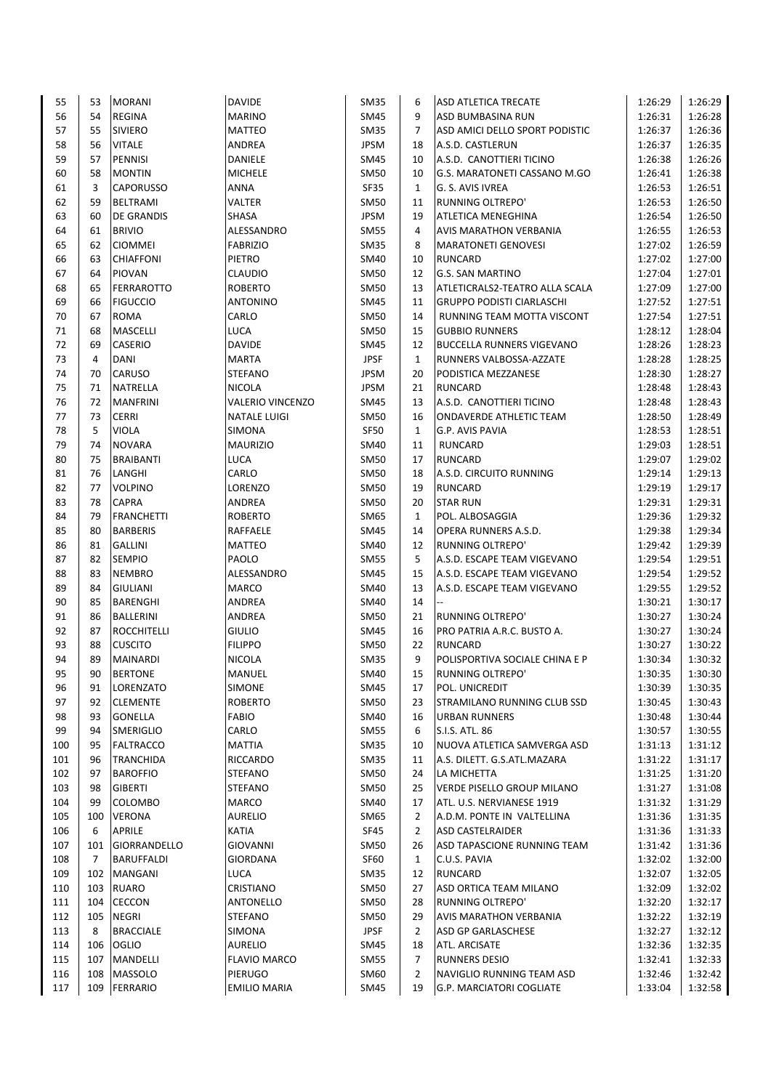| 55  | 53  | <b>MORANI</b>     | <b>DAVIDE</b>           | SM35        | 6              | ASD ATLETICA TRECATE              | 1:26:29 | 1:26:29 |
|-----|-----|-------------------|-------------------------|-------------|----------------|-----------------------------------|---------|---------|
| 56  | 54  | <b>REGINA</b>     | <b>MARINO</b>           | SM45        | 9              | <b>ASD BUMBASINA RUN</b>          | 1:26:31 | 1:26:28 |
| 57  | 55  | <b>SIVIERO</b>    | <b>MATTEO</b>           | <b>SM35</b> | $\overline{7}$ | ASD AMICI DELLO SPORT PODISTIC    | 1:26:37 | 1:26:36 |
| 58  | 56  | <b>VITALE</b>     | ANDREA                  | <b>JPSM</b> | 18             | A.S.D. CASTLERUN                  | 1:26:37 | 1:26:35 |
| 59  | 57  | PENNISI           | DANIELE                 | SM45        | 10             | A.S.D. CANOTTIERI TICINO          | 1:26:38 | 1:26:26 |
| 60  | 58  | <b>MONTIN</b>     | <b>MICHELE</b>          | <b>SM50</b> | 10             | G.S. MARATONETI CASSANO M.GO      | 1:26:41 | 1:26:38 |
|     |     |                   |                         |             |                |                                   |         |         |
| 61  | 3   | <b>CAPORUSSO</b>  | <b>ANNA</b>             | <b>SF35</b> | $\mathbf{1}$   | G. S. AVIS IVREA                  | 1:26:53 | 1:26:51 |
| 62  | 59  | <b>BELTRAMI</b>   | VALTER                  | <b>SM50</b> | 11             | <b>RUNNING OLTREPO'</b>           | 1:26:53 | 1:26:50 |
| 63  | 60  | <b>DE GRANDIS</b> | <b>SHASA</b>            | <b>JPSM</b> | 19             | ATLETICA MENEGHINA                | 1:26:54 | 1:26:50 |
| 64  | 61  | <b>BRIVIO</b>     | ALESSANDRO              | <b>SM55</b> | 4              | AVIS MARATHON VERBANIA            | 1:26:55 | 1:26:53 |
| 65  | 62  | <b>CIOMMEI</b>    | <b>FABRIZIO</b>         | <b>SM35</b> | 8              | <b>MARATONETI GENOVESI</b>        | 1:27:02 | 1:26:59 |
| 66  | 63  | <b>CHIAFFONI</b>  | PIETRO                  | SM40        | 10             | <b>RUNCARD</b>                    | 1:27:02 | 1:27:00 |
| 67  | 64  | <b>PIOVAN</b>     | CLAUDIO                 | <b>SM50</b> | 12             | <b>G.S. SAN MARTINO</b>           | 1:27:04 | 1:27:01 |
| 68  | 65  | <b>FERRAROTTO</b> | <b>ROBERTO</b>          | <b>SM50</b> | 13             | ATLETICRALS2-TEATRO ALLA SCALA    | 1:27:09 | 1:27:00 |
| 69  | 66  | <b>FIGUCCIO</b>   | <b>ANTONINO</b>         | <b>SM45</b> | 11             | <b>GRUPPO PODISTI CIARLASCHI</b>  | 1:27:52 | 1:27:51 |
| 70  | 67  | <b>ROMA</b>       | CARLO                   | <b>SM50</b> | 14             | RUNNING TEAM MOTTA VISCONT        | 1:27:54 | 1:27:51 |
| 71  | 68  | <b>MASCELLI</b>   | LUCA                    | <b>SM50</b> | 15             | <b>GUBBIO RUNNERS</b>             | 1:28:12 | 1:28:04 |
| 72  | 69  | <b>CASERIO</b>    | <b>DAVIDE</b>           | <b>SM45</b> | 12             | <b>BUCCELLA RUNNERS VIGEVANO</b>  | 1:28:26 | 1:28:23 |
| 73  | 4   | <b>DANI</b>       | <b>MARTA</b>            | <b>JPSF</b> | $\mathbf{1}$   | RUNNERS VALBOSSA-AZZATE           | 1:28:28 | 1:28:25 |
| 74  | 70  | <b>CARUSO</b>     |                         | <b>JPSM</b> |                |                                   |         | 1:28:27 |
|     |     |                   | <b>STEFANO</b>          |             | 20             | PODISTICA MEZZANESE               | 1:28:30 |         |
| 75  | 71  | <b>NATRELLA</b>   | <b>NICOLA</b>           | <b>JPSM</b> | 21             | <b>RUNCARD</b>                    | 1:28:48 | 1:28:43 |
| 76  | 72  | <b>MANFRINI</b>   | <b>VALERIO VINCENZO</b> | SM45        | 13             | A.S.D. CANOTTIERI TICINO          | 1:28:48 | 1:28:43 |
| 77  | 73  | <b>CERRI</b>      | <b>NATALE LUIGI</b>     | <b>SM50</b> | 16             | <b>ONDAVERDE ATHLETIC TEAM</b>    | 1:28:50 | 1:28:49 |
| 78  | 5   | <b>VIOLA</b>      | SIMONA                  | <b>SF50</b> | $\mathbf{1}$   | G.P. AVIS PAVIA                   | 1:28:53 | 1:28:51 |
| 79  | 74  | <b>NOVARA</b>     | <b>MAURIZIO</b>         | SM40        | 11             | RUNCARD                           | 1:29:03 | 1:28:51 |
| 80  | 75  | <b>BRAIBANTI</b>  | LUCA                    | <b>SM50</b> | 17             | <b>RUNCARD</b>                    | 1:29:07 | 1:29:02 |
| 81  | 76  | LANGHI            | CARLO                   | <b>SM50</b> | 18             | A.S.D. CIRCUITO RUNNING           | 1:29:14 | 1:29:13 |
| 82  | 77  | <b>VOLPINO</b>    | LORENZO                 | <b>SM50</b> | 19             | <b>RUNCARD</b>                    | 1:29:19 | 1:29:17 |
| 83  | 78  | <b>CAPRA</b>      | ANDREA                  | <b>SM50</b> | 20             | <b>STAR RUN</b>                   | 1:29:31 | 1:29:31 |
| 84  | 79  | <b>FRANCHETTI</b> | <b>ROBERTO</b>          | SM65        | $\mathbf{1}$   | POL. ALBOSAGGIA                   | 1:29:36 | 1:29:32 |
| 85  | 80  | <b>BARBERIS</b>   | RAFFAELE                | <b>SM45</b> | 14             | OPERA RUNNERS A.S.D.              | 1:29:38 | 1:29:34 |
| 86  | 81  | <b>GALLINI</b>    | MATTEO                  | <b>SM40</b> | 12             | <b>RUNNING OLTREPO'</b>           | 1:29:42 | 1:29:39 |
| 87  | 82  |                   | PAOLO                   |             | 5              |                                   |         |         |
|     |     | <b>SEMPIO</b>     |                         | <b>SM55</b> |                | A.S.D. ESCAPE TEAM VIGEVANO       | 1:29:54 | 1:29:51 |
| 88  | 83  | <b>NEMBRO</b>     | ALESSANDRO              | <b>SM45</b> | 15             | A.S.D. ESCAPE TEAM VIGEVANO       | 1:29:54 | 1:29:52 |
| 89  | 84  | <b>GIULIANI</b>   | MARCO                   | SM40        | 13             | A.S.D. ESCAPE TEAM VIGEVANO       | 1:29:55 | 1:29:52 |
| 90  | 85  | <b>BARENGHI</b>   | ANDREA                  | SM40        | 14             |                                   | 1:30:21 | 1:30:17 |
| 91  | 86  | <b>BALLERINI</b>  | ANDREA                  | SM50        | 21             | <b>RUNNING OLTREPO'</b>           | 1:30:27 | 1:30:24 |
| 92  | 87  | ROCCHITELLI       | <b>GIULIO</b>           | SM45        | 16             | PRO PATRIA A.R.C. BUSTO A.        | 1:30:27 | 1:30:24 |
| 93  | 88  | <b>CUSCITO</b>    | <b>FILIPPO</b>          | <b>SM50</b> | 22             | <b>RUNCARD</b>                    | 1:30:27 | 1:30:22 |
| 94  | 89  | <b>MAINARDI</b>   | <b>NICOLA</b>           | <b>SM35</b> | 9              | POLISPORTIVA SOCIALE CHINA E P    | 1:30:34 | 1:30:32 |
| 95  | 90  | <b>BERTONE</b>    | <b>MANUEL</b>           | SM40        | 15             | RUNNING OLTREPO'                  | 1:30:35 | 1:30:30 |
| 96  | 91  | LORENZATO         | SIMONE                  | SM45        | 17             | POL. UNICREDIT                    | 1:30:39 | 1:30:35 |
| 97  | 92  | <b>CLEMENTE</b>   | <b>ROBERTO</b>          | SM50        | 23             | STRAMILANO RUNNING CLUB SSD       | 1:30:45 | 1:30:43 |
| 98  | 93  | <b>GONELLA</b>    | <b>FABIO</b>            | SM40        | 16             | <b>URBAN RUNNERS</b>              | 1:30:48 | 1:30:44 |
| 99  | 94  | <b>SMERIGLIO</b>  | CARLO                   | <b>SM55</b> | 6              | S.I.S. ATL. 86                    | 1:30:57 | 1:30:55 |
| 100 | 95  | <b>FALTRACCO</b>  | <b>MATTIA</b>           | <b>SM35</b> | 10             | NUOVA ATLETICA SAMVERGA ASD       | 1:31:13 | 1:31:12 |
|     |     | <b>TRANCHIDA</b>  | RICCARDO                |             |                |                                   |         | 1:31:17 |
| 101 | 96  |                   |                         | <b>SM35</b> | 11             | A.S. DILETT. G.S.ATL.MAZARA       | 1:31:22 |         |
| 102 | 97  | <b>BAROFFIO</b>   | <b>STEFANO</b>          | SM50        | 24             | LA MICHETTA                       | 1:31:25 | 1:31:20 |
| 103 | 98  | <b>GIBERTI</b>    | STEFANO                 | SM50        | 25             | <b>VERDE PISELLO GROUP MILANO</b> | 1:31:27 | 1:31:08 |
| 104 | 99  | <b>COLOMBO</b>    | MARCO                   | SM40        | 17             | ATL. U.S. NERVIANESE 1919         | 1:31:32 | 1:31:29 |
| 105 | 100 | <b>VERONA</b>     | <b>AURELIO</b>          | SM65        | 2              | A.D.M. PONTE IN VALTELLINA        | 1:31:36 | 1:31:35 |
| 106 | 6   | <b>APRILE</b>     | KATIA                   | SF45        | $\overline{2}$ | ASD CASTELRAIDER                  | 1:31:36 | 1:31:33 |
| 107 | 101 | GIORRANDELLO      | <b>GIOVANNI</b>         | SM50        | 26             | ASD TAPASCIONE RUNNING TEAM       | 1:31:42 | 1:31:36 |
| 108 | 7   | <b>BARUFFALDI</b> | GIORDANA                | SF60        | $\mathbf{1}$   | C.U.S. PAVIA                      | 1:32:02 | 1:32:00 |
| 109 | 102 | <b>MANGANI</b>    | LUCA                    | <b>SM35</b> | 12             | RUNCARD                           | 1:32:07 | 1:32:05 |
| 110 | 103 | <b>RUARO</b>      | CRISTIANO               | SM50        | 27             | ASD ORTICA TEAM MILANO            | 1:32:09 | 1:32:02 |
| 111 | 104 | <b>CECCON</b>     | ANTONELLO               | SM50        | 28             | RUNNING OLTREPO'                  | 1:32:20 | 1:32:17 |
| 112 | 105 | <b>NEGRI</b>      | STEFANO                 | SM50        | 29             | <b>AVIS MARATHON VERBANIA</b>     | 1:32:22 | 1:32:19 |
| 113 | 8   | <b>BRACCIALE</b>  | SIMONA                  | <b>JPSF</b> | $\overline{2}$ | ASD GP GARLASCHESE                | 1:32:27 | 1:32:12 |
|     |     |                   | <b>AURELIO</b>          |             |                |                                   |         |         |
| 114 | 106 | <b>OGLIO</b>      |                         | SM45        | 18             | ATL. ARCISATE                     | 1:32:36 | 1:32:35 |
| 115 | 107 | <b>MANDELLI</b>   | <b>FLAVIO MARCO</b>     | <b>SM55</b> | $\overline{7}$ | <b>RUNNERS DESIO</b>              | 1:32:41 | 1:32:33 |
| 116 | 108 | MASSOLO           | PIERUGO                 | SM60        | 2              | NAVIGLIO RUNNING TEAM ASD         | 1:32:46 | 1:32:42 |
| 117 |     | 109 FERRARIO      | EMILIO MARIA            | SM45        | 19             | <b>G.P. MARCIATORI COGLIATE</b>   | 1:33:04 | 1:32:58 |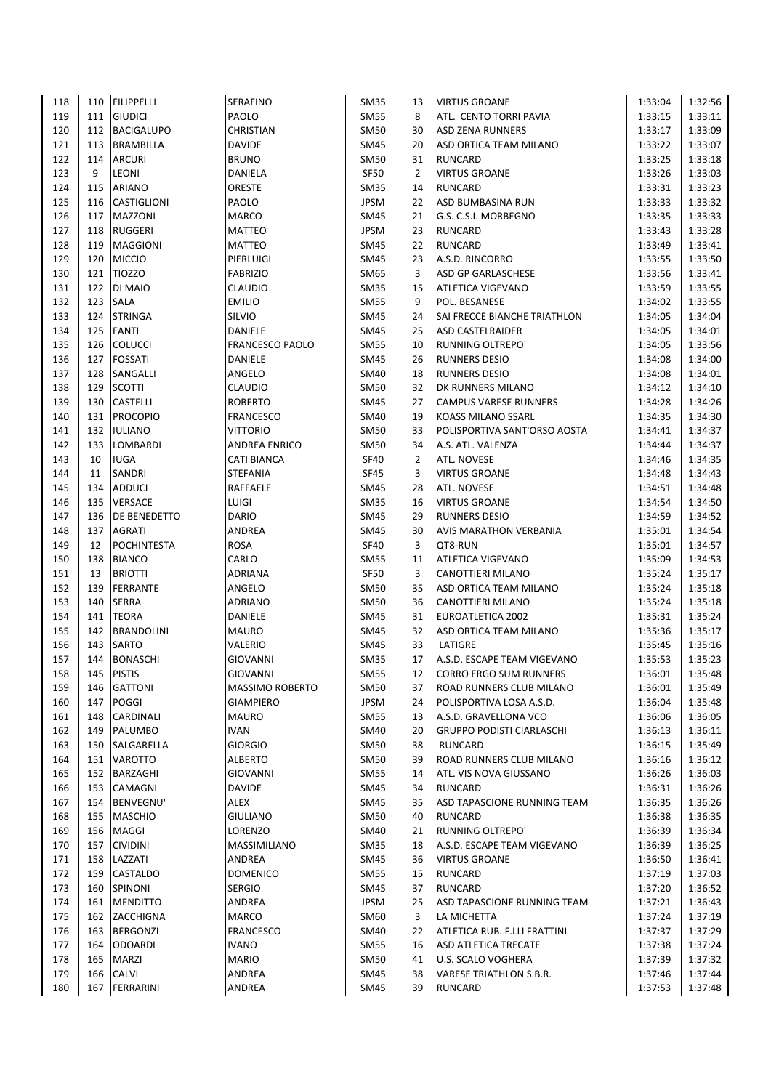| 118 | 110        | <b>FILIPPELLI</b>                | <b>SERAFINO</b>        | SM35                | 13             | <b>VIRTUS GROANE</b>                       | 1:33:04            | 1:32:56 |
|-----|------------|----------------------------------|------------------------|---------------------|----------------|--------------------------------------------|--------------------|---------|
| 119 | 111        | <b>GIUDICI</b>                   | PAOLO                  | SM55                | 8              | ATL. CENTO TORRI PAVIA                     | 1:33:15            | 1:33:11 |
| 120 | 112        | <b>BACIGALUPO</b>                | <b>CHRISTIAN</b>       | <b>SM50</b>         | 30             | <b>ASD ZENA RUNNERS</b>                    | 1:33:17            | 1:33:09 |
| 121 | 113        | <b>BRAMBILLA</b>                 | <b>DAVIDE</b>          | SM45                | 20             | ASD ORTICA TEAM MILANO                     | 1:33:22            | 1:33:07 |
| 122 | 114        | <b>ARCURI</b>                    | <b>BRUNO</b>           | SM50                | 31             | <b>RUNCARD</b>                             | 1:33:25            | 1:33:18 |
| 123 | 9          | LEONI                            | <b>DANIELA</b>         | <b>SF50</b>         | 2              | <b>VIRTUS GROANE</b>                       | 1:33:26            | 1:33:03 |
| 124 | 115        | <b>ARIANO</b>                    | ORESTE                 | <b>SM35</b>         | 14             | <b>RUNCARD</b>                             | 1:33:31            | 1:33:23 |
| 125 | 116        | <b>CASTIGLIONI</b>               | PAOLO                  | JPSM                | 22             | ASD BUMBASINA RUN                          | 1:33:33            | 1:33:32 |
| 126 | 117        | <b>MAZZONI</b>                   | <b>MARCO</b>           | SM45                | 21             | G.S. C.S.I. MORBEGNO                       | 1:33:35            | 1:33:33 |
| 127 | 118        | <b>RUGGERI</b>                   | <b>MATTEO</b>          | JPSM                | 23             | <b>RUNCARD</b>                             | 1:33:43            | 1:33:28 |
| 128 | 119        | <b>MAGGIONI</b>                  | <b>MATTEO</b>          | SM45                | 22             | <b>RUNCARD</b>                             | 1:33:49            | 1:33:41 |
| 129 | 120        | <b>MICCIO</b>                    | PIERLUIGI              | <b>SM45</b>         | 23             | A.S.D. RINCORRO                            | 1:33:55            | 1:33:50 |
| 130 | 121        | <b>TIOZZO</b>                    | <b>FABRIZIO</b>        | SM65                | 3              | ASD GP GARLASCHESE                         | 1:33:56            | 1:33:41 |
| 131 | 122        | DI MAIO                          | <b>CLAUDIO</b>         | <b>SM35</b>         | 15             | <b>ATLETICA VIGEVANO</b>                   | 1:33:59            | 1:33:55 |
| 132 | 123        | <b>SALA</b>                      | <b>EMILIO</b>          | <b>SM55</b>         | 9              | POL. BESANESE                              | 1:34:02            | 1:33:55 |
| 133 | 124        | <b>STRINGA</b>                   | SILVIO                 | SM45                | 24             | SAI FRECCE BIANCHE TRIATHLON               | 1:34:05            | 1:34:04 |
| 134 | 125        | <b>FANTI</b>                     | DANIELE                | SM45                | 25             | <b>ASD CASTELRAIDER</b>                    | 1:34:05            | 1:34:01 |
| 135 | 126        | <b>COLUCCI</b>                   | <b>FRANCESCO PAOLO</b> | <b>SM55</b>         | 10             | <b>RUNNING OLTREPO'</b>                    | 1:34:05            | 1:33:56 |
| 136 | 127        | <b>FOSSATI</b>                   | DANIELE                | SM45                | 26             | <b>RUNNERS DESIO</b>                       | 1:34:08            | 1:34:00 |
| 137 | 128        | SANGALLI                         | ANGELO                 | SM40                | 18             | <b>RUNNERS DESIO</b>                       | 1:34:08            | 1:34:01 |
| 138 | 129        | <b>SCOTTI</b>                    | <b>CLAUDIO</b>         | SM50                | 32             | DK RUNNERS MILANO                          | 1:34:12            | 1:34:10 |
| 139 | 130        | <b>CASTELLI</b>                  | <b>ROBERTO</b>         | SM45                | 27             | <b>CAMPUS VARESE RUNNERS</b>               | 1:34:28            | 1:34:26 |
| 140 | 131        | <b>PROCOPIO</b>                  | <b>FRANCESCO</b>       | SM40                | 19             | KOASS MILANO SSARL                         | 1:34:35            | 1:34:30 |
| 141 | 132        | <b>IULIANO</b>                   | <b>VITTORIO</b>        | SM50                | 33             | POLISPORTIVA SANT'ORSO AOSTA               | 1:34:41            | 1:34:37 |
| 142 | 133        | LOMBARDI                         | <b>ANDREA ENRICO</b>   | SM50                | 34             | A.S. ATL. VALENZA                          | 1:34:44            | 1:34:37 |
| 143 | 10         | <b>IUGA</b>                      | <b>CATI BIANCA</b>     | <b>SF40</b>         | $\overline{2}$ | ATL. NOVESE                                | 1:34:46            | 1:34:35 |
| 144 | 11         | SANDRI                           | <b>STEFANIA</b>        | SF45                | 3              | <b>VIRTUS GROANE</b>                       | 1:34:48            | 1:34:43 |
| 145 | 134        | <b>ADDUCI</b>                    | RAFFAELE               | SM45                | 28             | ATL. NOVESE                                | 1:34:51            | 1:34:48 |
| 146 | 135        | <b>VERSACE</b>                   | LUIGI                  | <b>SM35</b>         | 16             | <b>VIRTUS GROANE</b>                       | 1:34:54            | 1:34:50 |
| 147 | 136        | DE BENEDETTO                     | <b>DARIO</b>           | SM45                | 29             | <b>RUNNERS DESIO</b>                       | 1:34:59            | 1:34:52 |
| 148 | 137        | AGRATI                           | ANDREA                 | SM45                | 30             | AVIS MARATHON VERBANIA                     | 1:35:01            | 1:34:54 |
| 149 | 12         | <b>POCHINTESTA</b>               | <b>ROSA</b>            | SF40                | 3              | QT8-RUN                                    | 1:35:01            | 1:34:57 |
| 150 | 138        | <b>BIANCO</b>                    | CARLO                  | SM55                | 11             | ATLETICA VIGEVANO                          | 1:35:09            | 1:34:53 |
| 151 | 13         | <b>BRIOTTI</b>                   | ADRIANA                | SF50                | 3              | CANOTTIERI MILANO                          | 1:35:24            | 1:35:17 |
| 152 | 139        | <b>FERRANTE</b>                  | ANGELO                 | SM50                | 35             | ASD ORTICA TEAM MILANO                     | 1:35:24            | 1:35:18 |
| 153 | 140        | <b>SERRA</b>                     | <b>ADRIANO</b>         | SM50                | 36             | CANOTTIERI MILANO                          | 1:35:24            | 1:35:18 |
| 154 | 141        | <b>TEORA</b>                     | DANIELE                | SM45                | 31             | EUROATLETICA 2002                          | 1:35:31            | 1:35:24 |
| 155 | 142        | <b>BRANDOLINI</b>                | <b>MAURO</b>           | <b>SM45</b>         | 32             | ASD ORTICA TEAM MILANO                     | 1:35:36            | 1:35:17 |
| 156 | 143        | <b>SARTO</b>                     | VALERIO                | SM45                | 33             | LATIGRE                                    | 1:35:45            | 1:35:16 |
| 157 | 144        | <b>BONASCHI</b>                  | <b>GIOVANNI</b>        | <b>SM35</b>         | 17             | A.S.D. ESCAPE TEAM VIGEVANO                | 1:35:53            | 1:35:23 |
| 158 |            | 145 PISTIS                       | <b>GIOVANNI</b>        | $\mathsf{SM55}$     | 12             | CORRO ERGO SUM RUNNERS                     | 1:36:01            | 1:35:48 |
| 159 | 146        | <b>GATTONI</b>                   | MASSIMO ROBERTO        | SM50                | 37             | ROAD RUNNERS CLUB MILANO                   | 1:36:01            | 1:35:49 |
| 160 | 147        | POGGI                            | <b>GIAMPIERO</b>       | <b>JPSM</b>         | 24             | POLISPORTIVA LOSA A.S.D.                   | 1:36:04            | 1:35:48 |
| 161 | 148        | CARDINALI                        | <b>MAURO</b>           | SM55                | 13             | A.S.D. GRAVELLONA VCO                      | 1:36:06            | 1:36:05 |
| 162 |            | 149 PALUMBO                      | <b>IVAN</b>            | SM40                | 20             | <b>GRUPPO PODISTI CIARLASCHI</b>           | 1:36:13            | 1:36:11 |
| 163 |            | 150 SALGARELLA                   | <b>GIORGIO</b>         | SM50                | 38             | <b>RUNCARD</b>                             | 1:36:15            | 1:35:49 |
| 164 |            | 151 VAROTTO                      | <b>ALBERTO</b>         | SM50                | 39             | ROAD RUNNERS CLUB MILANO                   | 1:36:16            | 1:36:12 |
| 165 |            | 152 BARZAGHI                     | <b>GIOVANNI</b>        | SM55                | 14             | ATL. VIS NOVA GIUSSANO                     | 1:36:26            | 1:36:03 |
| 166 | 153        | CAMAGNI                          | DAVIDE                 | SM45                | 34             | <b>RUNCARD</b>                             | 1:36:31            | 1:36:26 |
| 167 | 154        | BENVEGNU'                        | ALEX                   | SM45                | 35             | ASD TAPASCIONE RUNNING TEAM                | 1:36:35            | 1:36:26 |
| 168 | 155        | <b>MASCHIO</b>                   | <b>GIULIANO</b>        | SM50                | 40             | <b>RUNCARD</b>                             | 1:36:38            | 1:36:35 |
| 169 | 156        | MAGGI                            | LORENZO                | SM40                | 21             | <b>RUNNING OLTREPO'</b>                    | 1:36:39            | 1:36:34 |
| 170 |            |                                  |                        |                     | 18             | A.S.D. ESCAPE TEAM VIGEVANO                |                    | 1:36:25 |
| 171 | 157<br>158 | <b>CIVIDINI</b><br>LAZZATI       | MASSIMILIANO<br>ANDREA | SM35<br><b>SM45</b> | 36             | <b>VIRTUS GROANE</b>                       | 1:36:39<br>1:36:50 | 1:36:41 |
| 172 | 159        | <b>CASTALDO</b>                  | <b>DOMENICO</b>        | SM55                | 15             | <b>RUNCARD</b>                             | 1:37:19            | 1:37:03 |
|     |            |                                  |                        |                     |                |                                            |                    |         |
| 173 | 160        | SPINONI                          | <b>SERGIO</b>          | SM45<br><b>JPSM</b> | 37             | <b>RUNCARD</b>                             | 1:37:20            | 1:36:52 |
| 174 | 161        | <b>MENDITTO</b><br>162 ZACCHIGNA | ANDREA                 |                     | 25<br>3        | ASD TAPASCIONE RUNNING TEAM<br>LA MICHETTA | 1:37:21            | 1:36:43 |
| 175 |            | 163 BERGONZI                     | MARCO                  | SM60                |                |                                            | 1:37:24            | 1:37:19 |
| 176 |            |                                  | <b>FRANCESCO</b>       | SM40                | 22             | ATLETICA RUB. F.LLI FRATTINI               | 1:37:37            | 1:37:29 |
| 177 | 164        | <b>ODOARDI</b>                   | <b>IVANO</b>           | SM55                | 16             | ASD ATLETICA TRECATE                       | 1:37:38            | 1:37:24 |
| 178 | 165        | <b>MARZI</b>                     | <b>MARIO</b>           | <b>SM50</b>         | 41             | U.S. SCALO VOGHERA                         | 1:37:39            | 1:37:32 |
| 179 | 166        | <b>CALVI</b>                     | ANDREA                 | <b>SM45</b>         | 38             | <b>VARESE TRIATHLON S.B.R.</b>             | 1:37:46            | 1:37:44 |
| 180 | 167        | FERRARINI                        | ANDREA                 | SM45                | 39             | <b>RUNCARD</b>                             | 1:37:53            | 1:37:48 |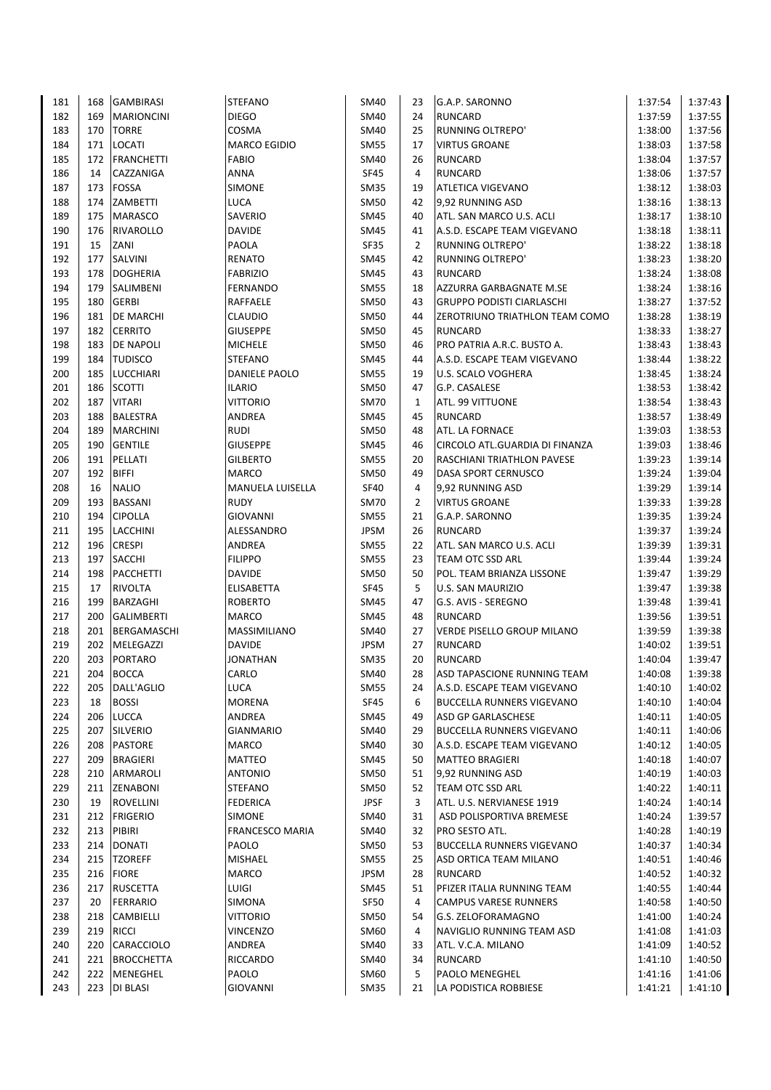| 181 | 168 | <b>GAMBIRASI</b>  | <b>STEFANO</b>         | SM40        | 23 | G.A.P. SARONNO                    | 1:37:54 | 1:37:43 |
|-----|-----|-------------------|------------------------|-------------|----|-----------------------------------|---------|---------|
| 182 | 169 | <b>MARIONCINI</b> | <b>DIEGO</b>           | SM40        | 24 | <b>RUNCARD</b>                    | 1:37:59 | 1:37:55 |
| 183 | 170 | <b>TORRE</b>      | COSMA                  | SM40        | 25 | <b>RUNNING OLTREPO'</b>           | 1:38:00 | 1:37:56 |
| 184 | 171 | <b>LOCATI</b>     | <b>MARCO EGIDIO</b>    | <b>SM55</b> | 17 | <b>VIRTUS GROANE</b>              | 1:38:03 | 1:37:58 |
| 185 | 172 | <b>FRANCHETTI</b> | <b>FABIO</b>           | SM40        | 26 | <b>RUNCARD</b>                    | 1:38:04 | 1:37:57 |
| 186 | 14  | CAZZANIGA         | <b>ANNA</b>            | <b>SF45</b> | 4  | <b>RUNCARD</b>                    | 1:38:06 | 1:37:57 |
| 187 | 173 | <b>FOSSA</b>      | SIMONE                 | SM35        | 19 | <b>ATLETICA VIGEVANO</b>          | 1:38:12 | 1:38:03 |
| 188 | 174 | ZAMBETTI          | <b>LUCA</b>            | <b>SM50</b> | 42 | 9,92 RUNNING ASD                  | 1:38:16 | 1:38:13 |
| 189 | 175 | <b>MARASCO</b>    | SAVERIO                |             | 40 | ATL. SAN MARCO U.S. ACLI          | 1:38:17 | 1:38:10 |
|     |     |                   |                        | SM45        |    |                                   |         |         |
| 190 | 176 | <b>RIVAROLLO</b>  | <b>DAVIDE</b>          | SM45        | 41 | A.S.D. ESCAPE TEAM VIGEVANO       | 1:38:18 | 1:38:11 |
| 191 | 15  | ZANI              | PAOLA                  | SF35        | 2  | RUNNING OLTREPO'                  | 1:38:22 | 1:38:18 |
| 192 | 177 | SALVINI           | <b>RENATO</b>          | <b>SM45</b> | 42 | RUNNING OLTREPO'                  | 1:38:23 | 1:38:20 |
| 193 | 178 | <b>DOGHERIA</b>   | <b>FABRIZIO</b>        | SM45        | 43 | <b>RUNCARD</b>                    | 1:38:24 | 1:38:08 |
| 194 | 179 | SALIMBENI         | <b>FERNANDO</b>        | <b>SM55</b> | 18 | AZZURRA GARBAGNATE M.SE           | 1:38:24 | 1:38:16 |
| 195 | 180 | <b>GERBI</b>      | RAFFAELE               | <b>SM50</b> | 43 | <b>GRUPPO PODISTI CIARLASCHI</b>  | 1:38:27 | 1:37:52 |
| 196 | 181 | <b>DE MARCHI</b>  | <b>CLAUDIO</b>         | SM50        | 44 | ZEROTRIUNO TRIATHLON TEAM COMO    | 1:38:28 | 1:38:19 |
| 197 | 182 | <b>CERRITO</b>    | <b>GIUSEPPE</b>        | SM50        | 45 | <b>RUNCARD</b>                    | 1:38:33 | 1:38:27 |
| 198 | 183 | <b>DE NAPOLI</b>  | <b>MICHELE</b>         | <b>SM50</b> | 46 | PRO PATRIA A.R.C. BUSTO A.        | 1:38:43 | 1:38:43 |
| 199 | 184 | <b>TUDISCO</b>    | <b>STEFANO</b>         | SM45        | 44 | A.S.D. ESCAPE TEAM VIGEVANO       | 1:38:44 | 1:38:22 |
| 200 | 185 | <b>LUCCHIARI</b>  | DANIELE PAOLO          | SM55        | 19 | U.S. SCALO VOGHERA                | 1:38:45 | 1:38:24 |
| 201 | 186 | <b>SCOTTI</b>     | <b>ILARIO</b>          | SM50        | 47 | G.P. CASALESE                     | 1:38:53 | 1:38:42 |
| 202 | 187 | <b>VITARI</b>     | <b>VITTORIO</b>        | SM70        | 1  | ATL. 99 VITTUONE                  | 1:38:54 | 1:38:43 |
| 203 | 188 | <b>BALESTRA</b>   | ANDREA                 | SM45        | 45 | <b>RUNCARD</b>                    | 1:38:57 | 1:38:49 |
| 204 | 189 | <b>MARCHINI</b>   | <b>RUDI</b>            | SM50        | 48 | ATL. LA FORNACE                   | 1:39:03 | 1:38:53 |
| 205 | 190 | <b>GENTILE</b>    | <b>GIUSEPPE</b>        | SM45        | 46 | CIRCOLO ATL.GUARDIA DI FINANZA    | 1:39:03 | 1:38:46 |
| 206 | 191 | PELLATI           | <b>GILBERTO</b>        | <b>SM55</b> | 20 | RASCHIANI TRIATHLON PAVESE        | 1:39:23 | 1:39:14 |
| 207 | 192 | <b>BIFFI</b>      | <b>MARCO</b>           | <b>SM50</b> | 49 | DASA SPORT CERNUSCO               | 1:39:24 | 1:39:04 |
| 208 | 16  | <b>NALIO</b>      | MANUELA LUISELLA       | <b>SF40</b> | 4  | 9,92 RUNNING ASD                  | 1:39:29 | 1:39:14 |
| 209 | 193 | <b>BASSANI</b>    | <b>RUDY</b>            | <b>SM70</b> | 2  |                                   |         | 1:39:28 |
|     |     |                   |                        |             |    | <b>VIRTUS GROANE</b>              | 1:39:33 |         |
| 210 | 194 | <b>CIPOLLA</b>    | <b>GIOVANNI</b>        | <b>SM55</b> | 21 | G.A.P. SARONNO                    | 1:39:35 | 1:39:24 |
| 211 | 195 | <b>LACCHINI</b>   | ALESSANDRO             | JPSM        | 26 | <b>RUNCARD</b>                    | 1:39:37 | 1:39:24 |
| 212 | 196 | <b>CRESPI</b>     | ANDREA                 | SM55        | 22 | ATL. SAN MARCO U.S. ACLI          | 1:39:39 | 1:39:31 |
| 213 | 197 | <b>SACCHI</b>     | <b>FILIPPO</b>         | <b>SM55</b> | 23 | TEAM OTC SSD ARL                  | 1:39:44 | 1:39:24 |
| 214 | 198 | <b>PACCHETTI</b>  | <b>DAVIDE</b>          | SM50        | 50 | POL. TEAM BRIANZA LISSONE         | 1:39:47 | 1:39:29 |
| 215 | 17  | <b>RIVOLTA</b>    | <b>ELISABETTA</b>      | SF45        | 5  | U.S. SAN MAURIZIO                 | 1:39:47 | 1:39:38 |
| 216 | 199 | BARZAGHI          | <b>ROBERTO</b>         | SM45        | 47 | G.S. AVIS - SEREGNO               | 1:39:48 | 1:39:41 |
| 217 | 200 | <b>GALIMBERTI</b> | <b>MARCO</b>           | SM45        | 48 | <b>RUNCARD</b>                    | 1:39:56 | 1:39:51 |
| 218 | 201 | BERGAMASCHI       | MASSIMILIANO           | SM40        | 27 | <b>VERDE PISELLO GROUP MILANO</b> | 1:39:59 | 1:39:38 |
| 219 | 202 | <b>MELEGAZZI</b>  | <b>DAVIDE</b>          | <b>JPSM</b> | 27 | <b>RUNCARD</b>                    | 1:40:02 | 1:39:51 |
| 220 |     | 203 PORTARO       | <b>JONATHAN</b>        | <b>SM35</b> | 20 | <b>RUNCARD</b>                    | 1:40:04 | 1:39:47 |
| 221 |     | 204 BOCCA         | CARLO                  | SM40        | 28 | ASD TAPASCIONE RUNNING TEAM       | 1:40:08 | 1:39:38 |
| 222 | 205 | DALL'AGLIO        | LUCA                   | SM55        | 24 | A.S.D. ESCAPE TEAM VIGEVANO       | 1:40:10 | 1:40:02 |
| 223 | 18  | <b>BOSSI</b>      | <b>MORENA</b>          | SF45        | 6  | <b>BUCCELLA RUNNERS VIGEVANO</b>  | 1:40:10 | 1:40:04 |
| 224 | 206 | <b>LUCCA</b>      | ANDREA                 | SM45        | 49 | ASD GP GARLASCHESE                | 1:40:11 | 1:40:05 |
| 225 | 207 | <b>SILVERIO</b>   | <b>GIANMARIO</b>       | SM40        | 29 | <b>BUCCELLA RUNNERS VIGEVANO</b>  | 1:40:11 | 1:40:06 |
| 226 |     | 208 PASTORE       | MARCO                  | SM40        | 30 | A.S.D. ESCAPE TEAM VIGEVANO       | 1:40:12 | 1:40:05 |
| 227 | 209 | <b>BRAGIERI</b>   | <b>MATTEO</b>          | SM45        | 50 | <b>MATTEO BRAGIERI</b>            | 1:40:18 | 1:40:07 |
| 228 | 210 | <b>ARMAROLI</b>   | <b>ANTONIO</b>         | SM50        | 51 | 9,92 RUNNING ASD                  | 1:40:19 | 1:40:03 |
| 229 | 211 | ZENABONI          | STEFANO                | SM50        | 52 | TEAM OTC SSD ARL                  | 1:40:22 | 1:40:11 |
| 230 | 19  | ROVELLINI         | <b>FEDERICA</b>        | <b>JPSF</b> | 3  | ATL. U.S. NERVIANESE 1919         | 1:40:24 | 1:40:14 |
| 231 | 212 | <b>FRIGERIO</b>   | SIMONE                 | SM40        | 31 | ASD POLISPORTIVA BREMESE          | 1:40:24 | 1:39:57 |
| 232 | 213 | <b>PIBIRI</b>     | <b>FRANCESCO MARIA</b> | SM40        | 32 | PRO SESTO ATL.                    | 1:40:28 | 1:40:19 |
| 233 | 214 | <b>DONATI</b>     | PAOLO                  | SM50        | 53 | <b>BUCCELLA RUNNERS VIGEVANO</b>  | 1:40:37 | 1:40:34 |
|     |     |                   |                        |             |    |                                   |         |         |
| 234 |     | 215  TZOREFF      | <b>MISHAEL</b>         | SM55        | 25 | ASD ORTICA TEAM MILANO            | 1:40:51 | 1:40:46 |
| 235 | 216 | <b>FIORE</b>      | <b>MARCO</b>           | JPSM        | 28 | <b>RUNCARD</b>                    | 1:40:52 | 1:40:32 |
| 236 | 217 | <b>RUSCETTA</b>   | <b>LUIGI</b>           | SM45        | 51 | PFIZER ITALIA RUNNING TEAM        | 1:40:55 | 1:40:44 |
| 237 | 20  | <b>FERRARIO</b>   | SIMONA                 | SF50        | 4  | <b>CAMPUS VARESE RUNNERS</b>      | 1:40:58 | 1:40:50 |
| 238 | 218 | <b>CAMBIELLI</b>  | VITTORIO               | SM50        | 54 | G.S. ZELOFORAMAGNO                | 1:41:00 | 1:40:24 |
| 239 | 219 | <b>RICCI</b>      | <b>VINCENZO</b>        | SM60        | 4  | NAVIGLIO RUNNING TEAM ASD         | 1:41:08 | 1:41:03 |
| 240 | 220 | CARACCIOLO        | ANDREA                 | SM40        | 33 | ATL. V.C.A. MILANO                | 1:41:09 | 1:40:52 |
| 241 | 221 | <b>BROCCHETTA</b> | <b>RICCARDO</b>        | SM40        | 34 | <b>RUNCARD</b>                    | 1:41:10 | 1:40:50 |
| 242 | 222 | <b>MENEGHEL</b>   | PAOLO                  | SM60        | 5  | PAOLO MENEGHEL                    | 1:41:16 | 1:41:06 |
| 243 | 223 | <b>DI BLASI</b>   | <b>GIOVANNI</b>        | SM35        | 21 | LA PODISTICA ROBBIESE             | 1:41:21 | 1:41:10 |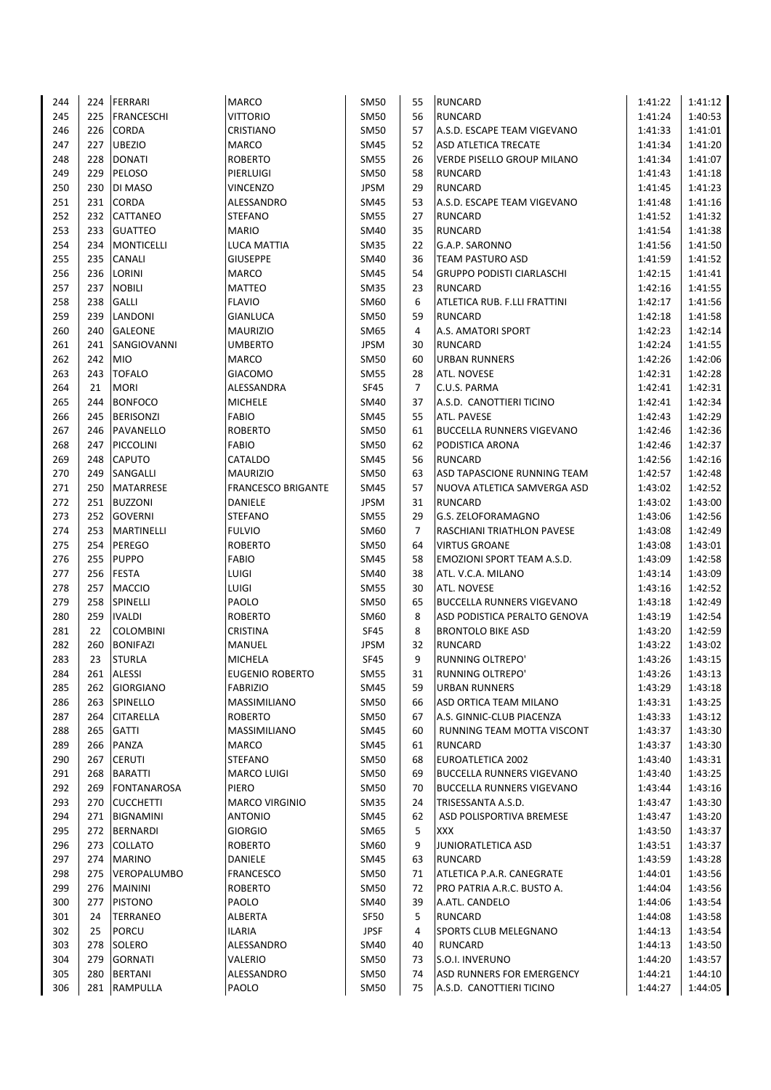| 244 | 224 | FERRARI            | <b>MARCO</b>              | SM50        | 55             | <b>RUNCARD</b>                   | 1:41:22 | 1:41:12 |
|-----|-----|--------------------|---------------------------|-------------|----------------|----------------------------------|---------|---------|
| 245 | 225 | FRANCESCHI         | VITTORIO                  | <b>SM50</b> | 56             | <b>RUNCARD</b>                   | 1:41:24 | 1:40:53 |
| 246 | 226 | <b>CORDA</b>       | CRISTIANO                 | <b>SM50</b> | 57             | A.S.D. ESCAPE TEAM VIGEVANO      | 1:41:33 | 1:41:01 |
| 247 | 227 | <b>UBEZIO</b>      | <b>MARCO</b>              | SM45        | 52             | <b>ASD ATLETICA TRECATE</b>      | 1:41:34 | 1:41:20 |
| 248 | 228 | <b>DONATI</b>      | <b>ROBERTO</b>            | <b>SM55</b> | 26             | VERDE PISELLO GROUP MILANO       | 1:41:34 | 1:41:07 |
| 249 | 229 | PELOSO             | PIERLUIGI                 | SM50        | 58             | <b>RUNCARD</b>                   | 1:41:43 | 1:41:18 |
| 250 | 230 | <b>DI MASO</b>     | <b>VINCENZO</b>           | <b>JPSM</b> | 29             | <b>RUNCARD</b>                   | 1:41:45 | 1:41:23 |
| 251 | 231 | <b>CORDA</b>       | ALESSANDRO                | SM45        | 53             | A.S.D. ESCAPE TEAM VIGEVANO      | 1:41:48 | 1:41:16 |
| 252 | 232 | <b>CATTANEO</b>    | <b>STEFANO</b>            | SM55        | 27             | <b>RUNCARD</b>                   | 1:41:52 | 1:41:32 |
| 253 | 233 | <b>GUATTEO</b>     | <b>MARIO</b>              | SM40        | 35             | <b>RUNCARD</b>                   | 1:41:54 | 1:41:38 |
| 254 | 234 | <b>MONTICELLI</b>  | <b>LUCA MATTIA</b>        | <b>SM35</b> | 22             | G.A.P. SARONNO                   | 1:41:56 | 1:41:50 |
| 255 | 235 | <b>CANALI</b>      | <b>GIUSEPPE</b>           | SM40        | 36             | <b>TEAM PASTURO ASD</b>          | 1:41:59 | 1:41:52 |
| 256 | 236 | LORINI             | <b>MARCO</b>              | SM45        | 54             | <b>GRUPPO PODISTI CIARLASCHI</b> | 1:42:15 | 1:41:41 |
| 257 | 237 | <b>NOBILI</b>      | <b>MATTEO</b>             | SM35        | 23             | <b>RUNCARD</b>                   | 1:42:16 | 1:41:55 |
| 258 | 238 | <b>GALLI</b>       | <b>FLAVIO</b>             | SM60        | 6              | ATLETICA RUB. F.LLI FRATTINI     | 1:42:17 | 1:41:56 |
| 259 | 239 | LANDONI            | <b>GIANLUCA</b>           | <b>SM50</b> | 59             | <b>RUNCARD</b>                   | 1:42:18 | 1:41:58 |
| 260 | 240 | <b>GALEONE</b>     | <b>MAURIZIO</b>           | SM65        | 4              | A.S. AMATORI SPORT               | 1:42:23 | 1:42:14 |
| 261 | 241 | SANGIOVANNI        | <b>UMBERTO</b>            | <b>JPSM</b> | 30             | <b>RUNCARD</b>                   | 1:42:24 | 1:41:55 |
| 262 | 242 | <b>MIO</b>         | <b>MARCO</b>              | <b>SM50</b> | 60             | <b>URBAN RUNNERS</b>             | 1:42:26 | 1:42:06 |
| 263 | 243 | <b>TOFALO</b>      | <b>GIACOMO</b>            | <b>SM55</b> | 28             | <b>ATL. NOVESE</b>               | 1:42:31 | 1:42:28 |
| 264 | 21  | <b>MORI</b>        | ALESSANDRA                | <b>SF45</b> | $\overline{7}$ | C.U.S. PARMA                     | 1:42:41 | 1:42:31 |
| 265 | 244 | <b>BONFOCO</b>     | <b>MICHELE</b>            | SM40        | 37             | A.S.D. CANOTTIERI TICINO         | 1:42:41 | 1:42:34 |
| 266 | 245 | <b>BERISONZI</b>   | <b>FABIO</b>              | SM45        | 55             | ATL. PAVESE                      | 1:42:43 | 1:42:29 |
| 267 | 246 | PAVANELLO          | <b>ROBERTO</b>            | <b>SM50</b> | 61             | <b>BUCCELLA RUNNERS VIGEVANO</b> | 1:42:46 | 1:42:36 |
| 268 | 247 | PICCOLINI          | <b>FABIO</b>              | <b>SM50</b> | 62             | PODISTICA ARONA                  | 1:42:46 | 1:42:37 |
| 269 | 248 | <b>CAPUTO</b>      | CATALDO                   | SM45        | 56             | <b>RUNCARD</b>                   | 1:42:56 | 1:42:16 |
| 270 | 249 | SANGALLI           | <b>MAURIZIO</b>           | SM50        | 63             | ASD TAPASCIONE RUNNING TEAM      | 1:42:57 | 1:42:48 |
| 271 | 250 | <b>MATARRESE</b>   | <b>FRANCESCO BRIGANTE</b> | SM45        | 57             | NUOVA ATLETICA SAMVERGA ASD      | 1:43:02 | 1:42:52 |
| 272 | 251 | <b>BUZZONI</b>     | <b>DANIELE</b>            | <b>JPSM</b> | 31             | <b>RUNCARD</b>                   | 1:43:02 | 1:43:00 |
| 273 | 252 | <b>GOVERNI</b>     | <b>STEFANO</b>            | <b>SM55</b> | 29             | G.S. ZELOFORAMAGNO               | 1:43:06 | 1:42:56 |
| 274 | 253 | <b>MARTINELLI</b>  | <b>FULVIO</b>             | SM60        | $\overline{7}$ | RASCHIANI TRIATHLON PAVESE       | 1:43:08 | 1:42:49 |
| 275 | 254 | PEREGO             | <b>ROBERTO</b>            | <b>SM50</b> | 64             | <b>VIRTUS GROANE</b>             | 1:43:08 | 1:43:01 |
| 276 | 255 | <b>PUPPO</b>       | <b>FABIO</b>              | SM45        | 58             | EMOZIONI SPORT TEAM A.S.D.       | 1:43:09 | 1:42:58 |
| 277 | 256 | <b>FESTA</b>       | LUIGI                     | SM40        | 38             | ATL. V.C.A. MILANO               | 1:43:14 | 1:43:09 |
| 278 | 257 | <b>MACCIO</b>      | LUIGI                     | <b>SM55</b> | 30             | ATL. NOVESE                      | 1:43:16 | 1:42:52 |
| 279 | 258 | <b>SPINELLI</b>    | PAOLO                     | <b>SM50</b> | 65             | <b>BUCCELLA RUNNERS VIGEVANO</b> | 1:43:18 | 1:42:49 |
| 280 | 259 | <b>IVALDI</b>      | <b>ROBERTO</b>            | SM60        | 8              | ASD PODISTICA PERALTO GENOVA     | 1:43:19 | 1:42:54 |
| 281 | 22  | <b>COLOMBINI</b>   | CRISTINA                  | <b>SF45</b> | 8              | <b>BRONTOLO BIKE ASD</b>         | 1:43:20 | 1:42:59 |
| 282 | 260 | <b>BONIFAZI</b>    | <b>MANUEL</b>             | JPSM        | 32             | <b>RUNCARD</b>                   | 1:43:22 | 1:43:02 |
| 283 | 23  | <b>STURLA</b>      | <b>MICHELA</b>            | <b>SF45</b> | 9              | <b>RUNNING OLTREPO'</b>          | 1:43:26 | 1:43:15 |
| 284 |     | 261 ALESSI         | <b>EUGENIO ROBERTO</b>    | <b>SM55</b> | 31             | RUNNING OLTREPO'                 | 1:43:26 | 1:43:13 |
| 285 | 262 | <b>GIORGIANO</b>   | <b>FABRIZIO</b>           | SM45        | 59             | <b>URBAN RUNNERS</b>             | 1:43:29 | 1:43:18 |
| 286 |     | 263 SPINELLO       | MASSIMILIANO              | SM50        | 66             | ASD ORTICA TEAM MILANO           | 1:43:31 | 1:43:25 |
| 287 |     | 264 CITARELLA      | <b>ROBERTO</b>            | <b>SM50</b> | 67             | A.S. GINNIC-CLUB PIACENZA        | 1:43:33 | 1:43:12 |
| 288 |     | 265 GATTI          | MASSIMILIANO              | SM45        | 60             | RUNNING TEAM MOTTA VISCONT       | 1:43:37 | 1:43:30 |
| 289 | 266 | PANZA              | MARCO                     | SM45        | 61             | RUNCARD                          | 1:43:37 | 1:43:30 |
| 290 | 267 | <b>CERUTI</b>      | STEFANO                   | SM50        | 68             | EUROATLETICA 2002                | 1:43:40 | 1:43:31 |
| 291 |     | 268 BARATTI        | <b>MARCO LUIGI</b>        | SM50        | 69             | <b>BUCCELLA RUNNERS VIGEVANO</b> | 1:43:40 | 1:43:25 |
| 292 | 269 | FONTANAROSA        | PIERO                     | SM50        | 70             | <b>BUCCELLA RUNNERS VIGEVANO</b> | 1:43:44 | 1:43:16 |
| 293 |     | 270 CUCCHETTI      | <b>MARCO VIRGINIO</b>     | SM35        | 24             | TRISESSANTA A.S.D.               | 1:43:47 | 1:43:30 |
| 294 |     | 271 BIGNAMINI      | <b>ANTONIO</b>            | SM45        | 62             | ASD POLISPORTIVA BREMESE         | 1:43:47 | 1:43:20 |
| 295 |     | 272 BERNARDI       | <b>GIORGIO</b>            | SM65        | 5              | <b>XXX</b>                       | 1:43:50 | 1:43:37 |
| 296 |     | 273 COLLATO        | <b>ROBERTO</b>            | SM60        | 9              | JUNIORATLETICA ASD               | 1:43:51 | 1:43:37 |
| 297 |     | 274 MARINO         | DANIELE                   | SM45        | 63             | <b>RUNCARD</b>                   | 1:43:59 | 1:43:28 |
| 298 | 275 | <b>VEROPALUMBO</b> | <b>FRANCESCO</b>          | SM50        | 71             | ATLETICA P.A.R. CANEGRATE        | 1:44:01 | 1:43:56 |
| 299 |     | 276 MAININI        | <b>ROBERTO</b>            | <b>SM50</b> | 72             | PRO PATRIA A.R.C. BUSTO A.       | 1:44:04 | 1:43:56 |
| 300 |     | 277 PISTONO        | PAOLO                     | SM40        | 39             | A.ATL. CANDELO                   | 1:44:06 | 1:43:54 |
| 301 | 24  | <b>TERRANEO</b>    | ALBERTA                   | SF50        | 5              | <b>RUNCARD</b>                   | 1:44:08 | 1:43:58 |
| 302 | 25  | <b>PORCU</b>       | <b>ILARIA</b>             | <b>JPSF</b> | 4              | SPORTS CLUB MELEGNANO            | 1:44:13 | 1:43:54 |
| 303 | 278 | SOLERO             | ALESSANDRO                | SM40        | 40             | RUNCARD                          | 1:44:13 | 1:43:50 |
| 304 | 279 | <b>GORNATI</b>     | VALERIO                   | <b>SM50</b> | 73             | S.O.I. INVERUNO                  | 1:44:20 | 1:43:57 |
| 305 |     | 280 BERTANI        | ALESSANDRO                | <b>SM50</b> | 74             | ASD RUNNERS FOR EMERGENCY        | 1:44:21 | 1:44:10 |
| 306 |     | 281 RAMPULLA       | PAOLO                     | SM50        | 75             | A.S.D. CANOTTIERI TICINO         | 1:44:27 | 1:44:05 |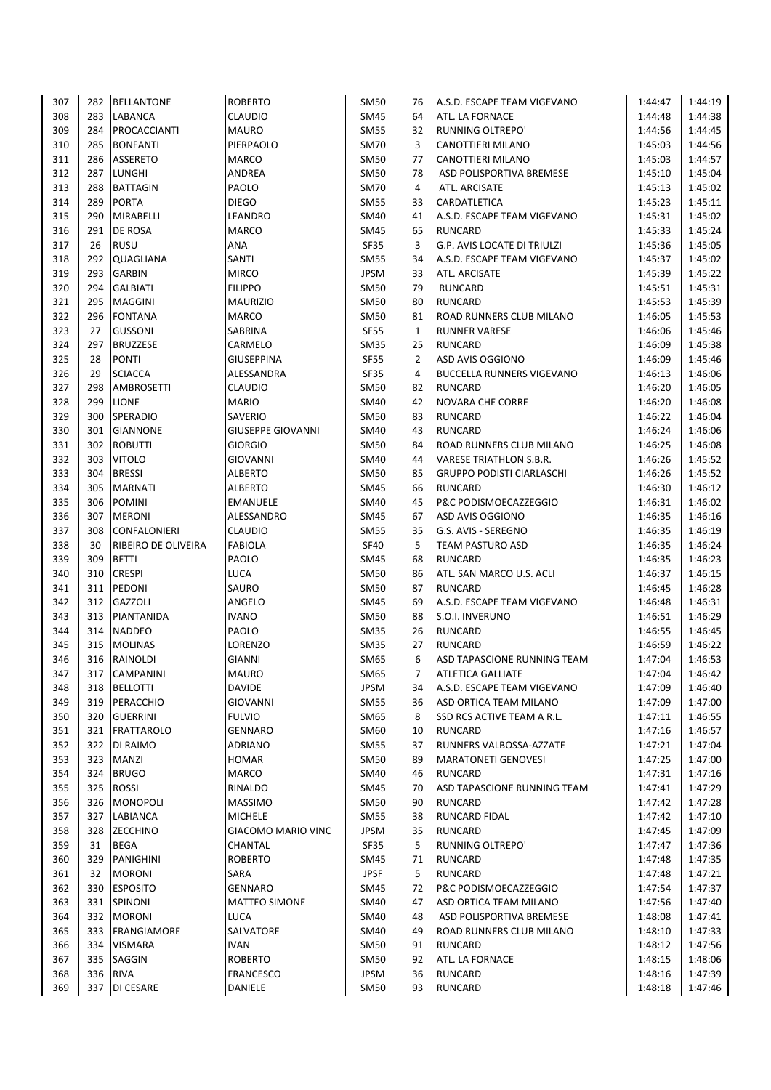| 307        | 282        | <b>BELLANTONE</b>                   | <b>ROBERTO</b>                    | <b>SM50</b>         | 76             | A.S.D. ESCAPE TEAM VIGEVANO                        | 1:44:47            | 1:44:19            |
|------------|------------|-------------------------------------|-----------------------------------|---------------------|----------------|----------------------------------------------------|--------------------|--------------------|
| 308        |            | 283 LABANCA                         | <b>CLAUDIO</b>                    | SM45                | 64             | ATL. LA FORNACE                                    | 1:44:48            | 1:44:38            |
| 309        | 284        | PROCACCIANTI                        | <b>MAURO</b>                      | SM55                | 32             | <b>RUNNING OLTREPO'</b>                            | 1:44:56            | 1:44:45            |
| 310        | 285        | <b>BONFANTI</b>                     | PIERPAOLO                         | <b>SM70</b>         | 3              | CANOTTIERI MILANO                                  | 1:45:03            | 1:44:56            |
| 311        | 286        | <b>ASSERETO</b>                     | <b>MARCO</b>                      | <b>SM50</b>         | 77             | CANOTTIERI MILANO                                  | 1:45:03            | 1:44:57            |
| 312        | 287        | <b>LUNGHI</b>                       | <b>ANDREA</b>                     | SM50                | 78             | ASD POLISPORTIVA BREMESE                           | 1:45:10            | 1:45:04            |
| 313        | 288        | <b>BATTAGIN</b>                     | PAOLO                             | SM70                | 4              | ATL. ARCISATE                                      | 1:45:13            | 1:45:02            |
| 314        | 289        | <b>PORTA</b>                        | <b>DIEGO</b>                      | <b>SM55</b>         | 33             | CARDATLETICA                                       | 1:45:23            | 1:45:11            |
| 315        | 290        | <b>MIRABELLI</b>                    | LEANDRO                           | <b>SM40</b>         | 41             | A.S.D. ESCAPE TEAM VIGEVANO                        | 1:45:31            | 1:45:02            |
| 316        | 291        | <b>DE ROSA</b>                      | <b>MARCO</b>                      | SM45                | 65             | <b>RUNCARD</b>                                     | 1:45:33            | 1:45:24            |
| 317        | 26         | <b>RUSU</b>                         | ANA                               | <b>SF35</b>         | 3              | <b>G.P. AVIS LOCATE DI TRIULZI</b>                 | 1:45:36            | 1:45:05            |
| 318        | 292        | <b>QUAGLIANA</b>                    | SANTI                             | <b>SM55</b>         | 34             | A.S.D. ESCAPE TEAM VIGEVANO                        | 1:45:37            | 1:45:02            |
| 319        | 293        | <b>GARBIN</b>                       | <b>MIRCO</b>                      | <b>JPSM</b>         | 33             | ATL. ARCISATE                                      | 1:45:39            | 1:45:22            |
| 320        | 294        | <b>GALBIATI</b>                     | <b>FILIPPO</b>                    | SM50                | 79             | <b>RUNCARD</b>                                     | 1:45:51            | 1:45:31            |
| 321        | 295        | <b>MAGGINI</b>                      | <b>MAURIZIO</b>                   | <b>SM50</b>         | 80             | <b>RUNCARD</b>                                     | 1:45:53            | 1:45:39            |
| 322        | 296        | <b>FONTANA</b>                      | <b>MARCO</b>                      | <b>SM50</b>         | 81             | ROAD RUNNERS CLUB MILANO                           | 1:46:05            | 1:45:53            |
| 323        | 27         | <b>GUSSONI</b>                      | SABRINA                           | <b>SF55</b>         | $\mathbf{1}$   | <b>RUNNER VARESE</b>                               | 1:46:06            | 1:45:46            |
| 324        | 297        | <b>BRUZZESE</b>                     | CARMELO                           | SM35                | 25             | <b>RUNCARD</b>                                     | 1:46:09            | 1:45:38            |
| 325        | 28         | <b>PONTI</b>                        | <b>GIUSEPPINA</b>                 | <b>SF55</b>         | $\overline{2}$ | ASD AVIS OGGIONO                                   | 1:46:09            | 1:45:46            |
| 326        | 29         | <b>SCIACCA</b>                      | ALESSANDRA                        | SF35                | 4              | <b>BUCCELLA RUNNERS VIGEVANO</b>                   | 1:46:13            | 1:46:06            |
| 327        | 298        | <b>AMBROSETTI</b>                   | <b>CLAUDIO</b>                    | <b>SM50</b>         | 82             | <b>RUNCARD</b>                                     | 1:46:20            | 1:46:05            |
| 328        | 299        | <b>LIONE</b>                        | <b>MARIO</b>                      | SM40                | 42             | <b>NOVARA CHE CORRE</b>                            | 1:46:20            | 1:46:08            |
| 329        | 300        | SPERADIO                            | SAVERIO                           |                     | 83             | <b>RUNCARD</b>                                     | 1:46:22            | 1:46:04            |
| 330        | 301        | <b>GIANNONE</b>                     | <b>GIUSEPPE GIOVANNI</b>          | SM50                | 43             | <b>RUNCARD</b>                                     | 1:46:24            |                    |
| 331        |            | 302 ROBUTTI                         | <b>GIORGIO</b>                    | SM40<br><b>SM50</b> | 84             | ROAD RUNNERS CLUB MILANO                           | 1:46:25            | 1:46:06            |
| 332        | 303        | <b>VITOLO</b>                       |                                   |                     | 44             |                                                    |                    | 1:46:08            |
| 333        | 304        | <b>BRESSI</b>                       | <b>GIOVANNI</b><br><b>ALBERTO</b> | SM40<br><b>SM50</b> | 85             | VARESE TRIATHLON S.B.R.                            | 1:46:26<br>1:46:26 | 1:45:52<br>1:45:52 |
| 334        | 305        | <b>MARNATI</b>                      | <b>ALBERTO</b>                    |                     |                | <b>GRUPPO PODISTI CIARLASCHI</b><br><b>RUNCARD</b> |                    | 1:46:12            |
| 335        | 306        | <b>POMINI</b>                       | <b>EMANUELE</b>                   | SM45<br>SM40        | 66<br>45       | P&C PODISMOECAZZEGGIO                              | 1:46:30<br>1:46:31 | 1:46:02            |
|            |            |                                     |                                   |                     |                |                                                    |                    |                    |
| 336        | 307<br>308 | <b>MERONI</b>                       | ALESSANDRO                        | <b>SM45</b>         | 67             | ASD AVIS OGGIONO                                   | 1:46:35            | 1:46:16            |
| 337        |            | <b>CONFALONIERI</b>                 | <b>CLAUDIO</b>                    | <b>SM55</b>         | 35             | G.S. AVIS - SEREGNO                                | 1:46:35            | 1:46:19            |
| 338<br>339 | 30<br>309  | RIBEIRO DE OLIVEIRA<br><b>BETTI</b> | <b>FABIOLA</b><br>PAOLO           | <b>SF40</b>         | 5              | TEAM PASTURO ASD                                   | 1:46:35            | 1:46:24<br>1:46:23 |
| 340        | 310        | <b>CRESPI</b>                       | <b>LUCA</b>                       | <b>SM45</b>         | 68<br>86       | <b>RUNCARD</b><br>ATL. SAN MARCO U.S. ACLI         | 1:46:35            | 1:46:15            |
|            |            |                                     |                                   | <b>SM50</b>         |                |                                                    | 1:46:37            |                    |
| 341        | 311        | PEDONI<br><b>GAZZOLI</b>            | SAURO                             | <b>SM50</b>         | 87             | <b>RUNCARD</b>                                     | 1:46:45            | 1:46:28            |
| 342        | 312        |                                     | ANGELO                            | <b>SM45</b>         | 69             | A.S.D. ESCAPE TEAM VIGEVANO                        | 1:46:48            | 1:46:31            |
| 343        | 313        | PIANTANIDA                          | <b>IVANO</b>                      | <b>SM50</b>         | 88             | S.O.I. INVERUNO                                    | 1:46:51            | 1:46:29            |
| 344        |            | 314 NADDEO                          | PAOLO                             | SM35                | 26             | <b>RUNCARD</b>                                     | 1:46:55            | 1:46:45            |
| 345        |            | 315 MOLINAS                         | LORENZO                           | <b>SM35</b>         | 27             | <b>RUNCARD</b><br>ASD TAPASCIONE RUNNING TEAM      | 1:46:59            | 1:46:22            |
| 346        |            | 316 RAINOLDI                        | <b>GIANNI</b>                     | SM65                | 6              | ATI FTICA GALLIATE                                 | 1:47:04            | 1:46:53            |
| 347        |            | 317 CAMPANINI                       | <b>MAURO</b>                      | SM65                | 7              |                                                    | 1:47:04            | 1:46:42            |
| 348        | 318        | <b>BELLOTTI</b>                     | <b>DAVIDE</b>                     | <b>JPSM</b>         | 34             | A.S.D. ESCAPE TEAM VIGEVANO                        | 1:47:09            | 1:46:40            |
| 349        | 319        | PERACCHIO                           | <b>GIOVANNI</b>                   | SM55                | 36             | ASD ORTICA TEAM MILANO                             | 1:47:09            | 1:47:00            |
| 350        | 320        | <b>GUERRINI</b>                     | <b>FULVIO</b>                     | SM65                | 8              | SSD RCS ACTIVE TEAM A R.L.                         | 1:47:11            | 1:46:55            |
| 351        |            | 321 FRATTAROLO                      | <b>GENNARO</b>                    | SM60                | 10             | RUNCARD                                            | 1:47:16            | 1:46:57            |
| 352        |            | 322 DI RAIMO                        | <b>ADRIANO</b>                    | SM55                | 37             | RUNNERS VALBOSSA-AZZATE                            | 1:47:21            | 1:47:04            |
| 353        | 323        | <b>MANZI</b>                        | <b>HOMAR</b>                      | SM50                | 89             | <b>MARATONETI GENOVESI</b>                         | 1:47:25            | 1:47:00            |
| 354        |            | 324 BRUGO                           | MARCO                             | SM40                | 46             | <b>RUNCARD</b>                                     | 1:47:31            | 1:47:16            |
| 355        | 325        | <b>ROSSI</b>                        | RINALDO                           | SM45                | 70             | ASD TAPASCIONE RUNNING TEAM                        | 1:47:41            | 1:47:29            |
| 356        | 326        | <b>MONOPOLI</b>                     | <b>MASSIMO</b>                    | SM50                | 90             | <b>RUNCARD</b>                                     | 1:47:42            | 1:47:28            |
| 357        |            | 327 LABIANCA                        | <b>MICHELE</b>                    | SM55                | 38             | <b>RUNCARD FIDAL</b>                               | 1:47:42            | 1:47:10            |
| 358        |            | 328 ZECCHINO                        | <b>GIACOMO MARIO VINC</b>         | <b>JPSM</b>         | 35             | <b>RUNCARD</b>                                     | 1:47:45            | 1:47:09            |
| 359        | 31         | <b>BEGA</b>                         | CHANTAL                           | SF35                | 5              | RUNNING OLTREPO'                                   | 1:47:47            | 1:47:36            |
| 360        | 329        | PANIGHINI                           | <b>ROBERTO</b>                    | SM45                | 71             | <b>RUNCARD</b>                                     | 1:47:48            | 1:47:35            |
| 361        | 32         | <b>MORONI</b>                       | SARA                              | <b>JPSF</b>         | 5              | <b>RUNCARD</b>                                     | 1:47:48            | 1:47:21            |
| 362        | 330        | <b>ESPOSITO</b>                     | GENNARO                           | SM45                | 72             | P&C PODISMOECAZZEGGIO                              | 1:47:54            | 1:47:37            |
| 363        |            | 331 SPINONI                         | <b>MATTEO SIMONE</b>              | SM40                | 47             | ASD ORTICA TEAM MILANO                             | 1:47:56            | 1:47:40            |
| 364        |            | 332 MORONI                          | <b>LUCA</b>                       | SM40                | 48             | ASD POLISPORTIVA BREMESE                           | 1:48:08            | 1:47:41            |
| 365        |            | 333 FRANGIAMORE                     | SALVATORE                         | SM40                | 49             | ROAD RUNNERS CLUB MILANO                           | 1:48:10            | 1:47:33            |
| 366        |            | 334 VISMARA                         | <b>IVAN</b>                       | SM50                | 91             | RUNCARD                                            | 1:48:12            | 1:47:56            |
| 367        |            | 335   SAGGIN                        | <b>ROBERTO</b>                    | SM50                | 92             | ATL. LA FORNACE                                    | 1:48:15            | 1:48:06            |
| 368        | 336        | <b>RIVA</b>                         | <b>FRANCESCO</b>                  | <b>JPSM</b>         | 36             | <b>RUNCARD</b>                                     | 1:48:16            | 1:47:39            |
| 369        |            | 337 DI CESARE                       | <b>DANIELE</b>                    | SM50                | 93             | <b>RUNCARD</b>                                     | 1:48:18            | 1:47:46            |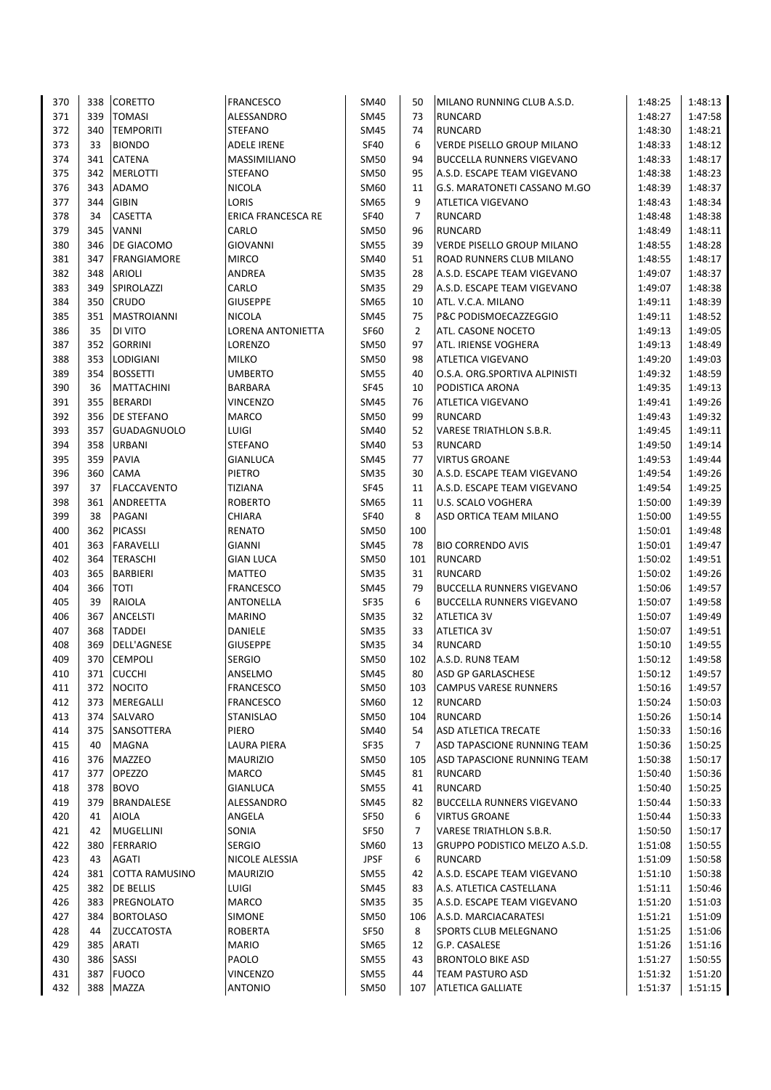| 370 | 338 | <b>CORETTO</b>     | <b>FRANCESCO</b>          | SM40        | 50             | MILANO RUNNING CLUB A.S.D.        | 1:48:25 | 1:48:13 |
|-----|-----|--------------------|---------------------------|-------------|----------------|-----------------------------------|---------|---------|
| 371 | 339 | <b>TOMASI</b>      | ALESSANDRO                | SM45        | 73             | <b>RUNCARD</b>                    | 1:48:27 | 1:47:58 |
| 372 | 340 | <b>TEMPORITI</b>   | <b>STEFANO</b>            | <b>SM45</b> | 74             | <b>RUNCARD</b>                    | 1:48:30 | 1:48:21 |
| 373 | 33  | <b>BIONDO</b>      | <b>ADELE IRENE</b>        | <b>SF40</b> | 6              | <b>VERDE PISELLO GROUP MILANO</b> | 1:48:33 | 1:48:12 |
| 374 | 341 | CATENA             | MASSIMILIANO              | SM50        | 94             | <b>BUCCELLA RUNNERS VIGEVANO</b>  | 1:48:33 | 1:48:17 |
| 375 | 342 | <b>MERLOTTI</b>    | <b>STEFANO</b>            | SM50        | 95             | A.S.D. ESCAPE TEAM VIGEVANO       | 1:48:38 | 1:48:23 |
| 376 | 343 | ADAMO              | <b>NICOLA</b>             | SM60        | 11             | G.S. MARATONETI CASSANO M.GO      | 1:48:39 | 1:48:37 |
| 377 | 344 | <b>GIBIN</b>       | LORIS                     | SM65        | 9              | ATLETICA VIGEVANO                 | 1:48:43 | 1:48:34 |
| 378 | 34  | CASETTA            | <b>ERICA FRANCESCA RE</b> | <b>SF40</b> | 7              | <b>RUNCARD</b>                    | 1:48:48 | 1:48:38 |
| 379 | 345 | <b>VANNI</b>       | CARLO                     | SM50        | 96             | <b>RUNCARD</b>                    | 1:48:49 | 1:48:11 |
| 380 | 346 | DE GIACOMO         | <b>GIOVANNI</b>           | <b>SM55</b> | 39             | <b>VERDE PISELLO GROUP MILANO</b> | 1:48:55 | 1:48:28 |
| 381 | 347 | FRANGIAMORE        | <b>MIRCO</b>              | SM40        | 51             | ROAD RUNNERS CLUB MILANO          | 1:48:55 | 1:48:17 |
| 382 | 348 | <b>ARIOLI</b>      | ANDREA                    | <b>SM35</b> | 28             | A.S.D. ESCAPE TEAM VIGEVANO       | 1:49:07 | 1:48:37 |
| 383 | 349 | SPIROLAZZI         | CARLO                     | SM35        | 29             | A.S.D. ESCAPE TEAM VIGEVANO       | 1:49:07 | 1:48:38 |
| 384 | 350 | <b>CRUDO</b>       | <b>GIUSEPPE</b>           | SM65        | 10             | ATL. V.C.A. MILANO                | 1:49:11 | 1:48:39 |
| 385 | 351 | <b>MASTROIANNI</b> | <b>NICOLA</b>             | SM45        | 75             | P&C PODISMOECAZZEGGIO             | 1:49:11 | 1:48:52 |
| 386 | 35  | DI VITO            | <b>LORENA ANTONIETTA</b>  | <b>SF60</b> | 2              | ATL. CASONE NOCETO                | 1:49:13 | 1:49:05 |
| 387 | 352 | <b>GORRINI</b>     | LORENZO                   | SM50        | 97             | ATL. IRIENSE VOGHERA              | 1:49:13 | 1:48:49 |
| 388 | 353 | <b>LODIGIANI</b>   | <b>MILKO</b>              | <b>SM50</b> | 98             | ATLETICA VIGEVANO                 | 1:49:20 | 1:49:03 |
| 389 | 354 | <b>BOSSETTI</b>    | <b>UMBERTO</b>            | <b>SM55</b> | 40             | O.S.A. ORG.SPORTIVA ALPINISTI     | 1:49:32 | 1:48:59 |
| 390 | 36  | <b>MATTACHINI</b>  | BARBARA                   | <b>SF45</b> | 10             | PODISTICA ARONA                   | 1:49:35 | 1:49:13 |
| 391 | 355 | <b>BERARDI</b>     | <b>VINCENZO</b>           |             |                |                                   |         | 1:49:26 |
|     |     |                    |                           | <b>SM45</b> | 76             | ATLETICA VIGEVANO                 | 1:49:41 |         |
| 392 | 356 | <b>DE STEFANO</b>  | <b>MARCO</b>              | SM50        | 99             | <b>RUNCARD</b>                    | 1:49:43 | 1:49:32 |
| 393 | 357 | <b>GUADAGNUOLO</b> | LUIGI                     | SM40        | 52             | <b>VARESE TRIATHLON S.B.R.</b>    | 1:49:45 | 1:49:11 |
| 394 | 358 | <b>URBANI</b>      | <b>STEFANO</b>            | SM40        | 53             | <b>RUNCARD</b>                    | 1:49:50 | 1:49:14 |
| 395 | 359 | <b>PAVIA</b>       | <b>GIANLUCA</b>           | SM45        | 77             | <b>VIRTUS GROANE</b>              | 1:49:53 | 1:49:44 |
| 396 | 360 | <b>CAMA</b>        | <b>PIETRO</b>             | <b>SM35</b> | 30             | A.S.D. ESCAPE TEAM VIGEVANO       | 1:49:54 | 1:49:26 |
| 397 | 37  | <b>FLACCAVENTO</b> | <b>TIZIANA</b>            | <b>SF45</b> | 11             | A.S.D. ESCAPE TEAM VIGEVANO       | 1:49:54 | 1:49:25 |
| 398 | 361 | ANDREETTA          | <b>ROBERTO</b>            | SM65        | 11             | U.S. SCALO VOGHERA                | 1:50:00 | 1:49:39 |
| 399 | 38  | PAGANI             | <b>CHIARA</b>             | <b>SF40</b> | 8              | ASD ORTICA TEAM MILANO            | 1:50:00 | 1:49:55 |
| 400 | 362 | <b>PICASSI</b>     | <b>RENATO</b>             | SM50        | 100            |                                   | 1:50:01 | 1:49:48 |
| 401 | 363 | <b>FARAVELLI</b>   | GIANNI                    | SM45        | 78             | <b>BIO CORRENDO AVIS</b>          | 1:50:01 | 1:49:47 |
| 402 | 364 | <b>TERASCHI</b>    | <b>GIAN LUCA</b>          | SM50        | 101            | <b>RUNCARD</b>                    | 1:50:02 | 1:49:51 |
| 403 | 365 | <b>BARBIERI</b>    | <b>MATTEO</b>             | SM35        | 31             | <b>RUNCARD</b>                    | 1:50:02 | 1:49:26 |
| 404 | 366 | TOTI               | <b>FRANCESCO</b>          | <b>SM45</b> | 79             | <b>BUCCELLA RUNNERS VIGEVANO</b>  | 1:50:06 | 1:49:57 |
| 405 | 39  | RAIOLA             | ANTONELLA                 | <b>SF35</b> | 6              | <b>BUCCELLA RUNNERS VIGEVANO</b>  | 1:50:07 | 1:49:58 |
| 406 | 367 | <b>ANCELSTI</b>    | <b>MARINO</b>             | <b>SM35</b> | 32             | <b>ATLETICA 3V</b>                | 1:50:07 | 1:49:49 |
| 407 | 368 | <b>TADDEI</b>      | DANIELE                   | SM35        | 33             | <b>ATLETICA 3V</b>                | 1:50:07 | 1:49:51 |
| 408 | 369 | <b>DELL'AGNESE</b> | <b>GIUSEPPE</b>           | SM35        | 34             | <b>RUNCARD</b>                    | 1:50:10 | 1:49:55 |
| 409 | 370 | <b>CEMPOLI</b>     | <b>SERGIO</b>             | <b>SM50</b> | 102            | A.S.D. RUN8 TEAM                  | 1:50:12 | 1:49:58 |
| 410 | 371 | <b>CUCCHI</b>      | ANSELMO                   | <b>SM45</b> | 80             | ASD GP GARLASCHESE                | 1:50:12 | 1:49:57 |
| 411 | 372 | <b>NOCITO</b>      | <b>FRANCESCO</b>          | SM50        | 103            | <b>CAMPUS VARESE RUNNERS</b>      | 1:50:16 | 1:49:57 |
| 412 | 373 | MEREGALLI          | <b>FRANCESCO</b>          | SM60        | 12             | <b>RUNCARD</b>                    | 1:50:24 | 1:50:03 |
| 413 |     | 374 SALVARO        | STANISLAO                 | <b>SM50</b> | 104            | <b>RUNCARD</b>                    | 1:50:26 | 1:50:14 |
| 414 |     | 375 SANSOTTERA     | PIERO                     | <b>SM40</b> | 54             | <b>ASD ATLETICA TRECATE</b>       | 1:50:33 | 1:50:16 |
| 415 | 40  | MAGNA              | LAURA PIERA               | SF35        | $\overline{7}$ | ASD TAPASCIONE RUNNING TEAM       | 1:50:36 | 1:50:25 |
| 416 | 376 | <b>MAZZEO</b>      | <b>MAURIZIO</b>           | SM50        | 105            | ASD TAPASCIONE RUNNING TEAM       | 1:50:38 | 1:50:17 |
| 417 | 377 | <b>OPEZZO</b>      | MARCO                     | SM45        | 81             | <b>RUNCARD</b>                    | 1:50:40 | 1:50:36 |
| 418 | 378 | <b>BOVO</b>        | <b>GIANLUCA</b>           | SM55        | 41             | <b>RUNCARD</b>                    | 1:50:40 | 1:50:25 |
| 419 | 379 | BRANDALESE         | ALESSANDRO                | SM45        | 82             | <b>BUCCELLA RUNNERS VIGEVANO</b>  | 1:50:44 | 1:50:33 |
| 420 | 41  | <b>AIOLA</b>       | ANGELA                    | SF50        | 6              | <b>VIRTUS GROANE</b>              | 1:50:44 | 1:50:33 |
| 421 | 42  | <b>MUGELLINI</b>   | SONIA                     | SF50        | 7              | <b>VARESE TRIATHLON S.B.R.</b>    | 1:50:50 | 1:50:17 |
| 422 | 380 | <b>FERRARIO</b>    | SERGIO                    | SM60        | 13             | GRUPPO PODISTICO MELZO A.S.D.     | 1:51:08 | 1:50:55 |
| 423 | 43  | AGATI              | NICOLE ALESSIA            | <b>JPSF</b> | 6              | <b>RUNCARD</b>                    | 1:51:09 | 1:50:58 |
| 424 | 381 | COTTA RAMUSINO     | <b>MAURIZIO</b>           | SM55        | 42             | A.S.D. ESCAPE TEAM VIGEVANO       | 1:51:10 | 1:50:38 |
| 425 | 382 | <b>DE BELLIS</b>   | <b>LUIGI</b>              | <b>SM45</b> | 83             | A.S. ATLETICA CASTELLANA          | 1:51:11 | 1:50:46 |
| 426 | 383 | PREGNOLATO         | MARCO                     | <b>SM35</b> | 35             | A.S.D. ESCAPE TEAM VIGEVANO       | 1:51:20 | 1:51:03 |
| 427 | 384 | <b>BORTOLASO</b>   | SIMONE                    | <b>SM50</b> | 106            | A.S.D. MARCIACARATESI             | 1:51:21 | 1:51:09 |
| 428 | 44  | <b>ZUCCATOSTA</b>  | <b>ROBERTA</b>            | SF50        | 8              | SPORTS CLUB MELEGNANO             | 1:51:25 | 1:51:06 |
| 429 | 385 | ARATI              | <b>MARIO</b>              | SM65        | 12             | G.P. CASALESE                     | 1:51:26 | 1:51:16 |
| 430 | 386 | SASSI              | PAOLO                     | SM55        | 43             | <b>BRONTOLO BIKE ASD</b>          | 1:51:27 | 1:50:55 |
| 431 | 387 | <b>FUOCO</b>       | <b>VINCENZO</b>           | SM55        | 44             | <b>TEAM PASTURO ASD</b>           | 1:51:32 | 1:51:20 |
| 432 |     | 388 MAZZA          | <b>ANTONIO</b>            | SM50        | 107            | <b>ATLETICA GALLIATE</b>          | 1:51:37 | 1:51:15 |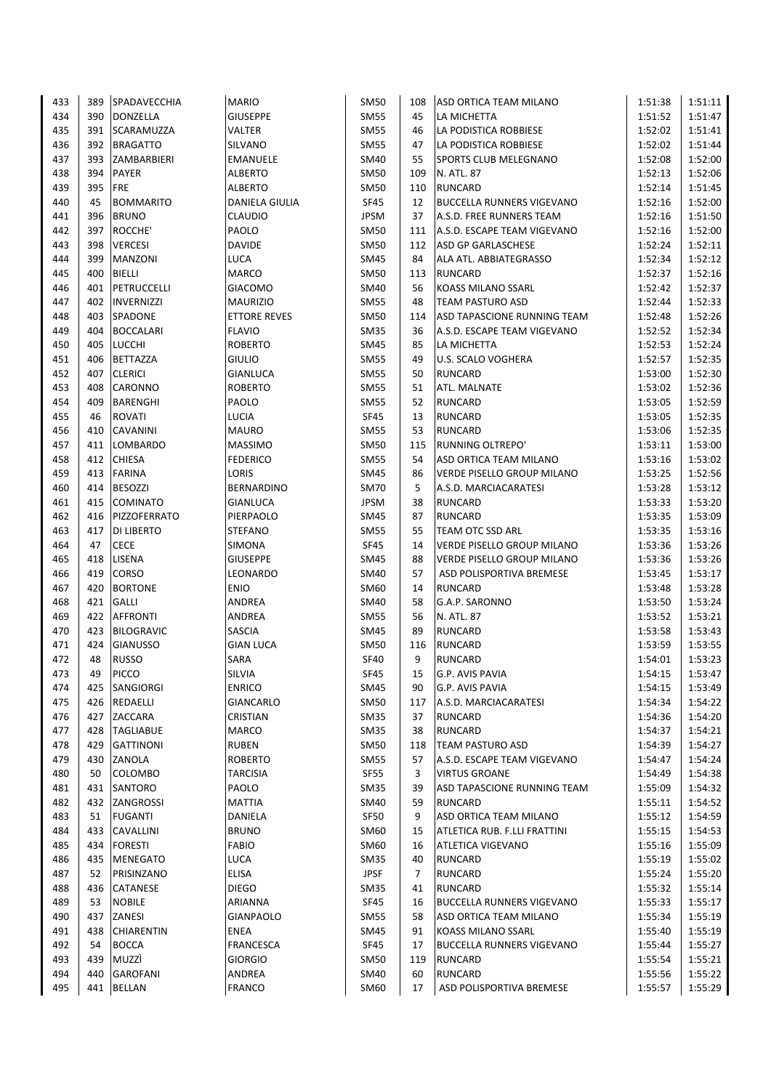| 433 | 389 | <b>SPADAVECCHIA</b> | <b>MARIO</b>        | SM50        | 108 | ASD ORTICA TEAM MILANO           | 1:51:38 | 1:51:11 |
|-----|-----|---------------------|---------------------|-------------|-----|----------------------------------|---------|---------|
| 434 | 390 | <b>DONZELLA</b>     | <b>GIUSEPPE</b>     | <b>SM55</b> | 45  | LA MICHETTA                      | 1:51:52 | 1:51:47 |
| 435 | 391 | SCARAMUZZA          | <b>VALTER</b>       | <b>SM55</b> | 46  | LA PODISTICA ROBBIESE            | 1:52:02 | 1:51:41 |
| 436 | 392 | <b>BRAGATTO</b>     | SILVANO             | <b>SM55</b> | 47  | LA PODISTICA ROBBIESE            | 1:52:02 | 1:51:44 |
| 437 | 393 | ZAMBARBIERI         | EMANUELE            | SM40        | 55  | SPORTS CLUB MELEGNANO            | 1:52:08 | 1:52:00 |
| 438 | 394 | PAYER               | <b>ALBERTO</b>      | <b>SM50</b> | 109 | N. ATL. 87                       | 1:52:13 | 1:52:06 |
| 439 | 395 | <b>FRE</b>          | <b>ALBERTO</b>      | <b>SM50</b> | 110 | <b>RUNCARD</b>                   | 1:52:14 | 1:51:45 |
| 440 | 45  | <b>BOMMARITO</b>    | DANIELA GIULIA      | <b>SF45</b> | 12  | <b>BUCCELLA RUNNERS VIGEVANO</b> | 1:52:16 | 1:52:00 |
| 441 | 396 | <b>BRUNO</b>        | <b>CLAUDIO</b>      | <b>JPSM</b> | 37  | A.S.D. FREE RUNNERS TEAM         | 1:52:16 | 1:51:50 |
| 442 | 397 | ROCCHE'             | PAOLO               | <b>SM50</b> | 111 | A.S.D. ESCAPE TEAM VIGEVANO      | 1:52:16 | 1:52:00 |
| 443 | 398 | <b>VERCESI</b>      | <b>DAVIDE</b>       | <b>SM50</b> | 112 | ASD GP GARLASCHESE               | 1:52:24 | 1:52:11 |
| 444 | 399 | MANZONI             | <b>LUCA</b>         | <b>SM45</b> | 84  | ALA ATL. ABBIATEGRASSO           | 1:52:34 | 1:52:12 |
| 445 | 400 | <b>BIELLI</b>       | <b>MARCO</b>        | SM50        | 113 | <b>RUNCARD</b>                   | 1:52:37 | 1:52:16 |
| 446 | 401 | <b>PETRUCCELLI</b>  | <b>GIACOMO</b>      | SM40        | 56  | KOASS MILANO SSARL               | 1:52:42 | 1:52:37 |
| 447 | 402 | <b>INVERNIZZI</b>   | <b>MAURIZIO</b>     | <b>SM55</b> | 48  | TEAM PASTURO ASD                 | 1:52:44 | 1:52:33 |
| 448 | 403 | SPADONE             | <b>ETTORE REVES</b> | <b>SM50</b> | 114 | ASD TAPASCIONE RUNNING TEAM      | 1:52:48 | 1:52:26 |
| 449 | 404 | <b>BOCCALARI</b>    | <b>FLAVIO</b>       | <b>SM35</b> | 36  | A.S.D. ESCAPE TEAM VIGEVANO      | 1:52:52 | 1:52:34 |
| 450 | 405 | LUCCHI              | <b>ROBERTO</b>      | <b>SM45</b> | 85  | LA MICHETTA                      | 1:52:53 | 1:52:24 |
| 451 | 406 | <b>BETTAZZA</b>     | <b>GIULIO</b>       | <b>SM55</b> | 49  | <b>U.S. SCALO VOGHERA</b>        | 1:52:57 | 1:52:35 |
| 452 | 407 | <b>CLERICI</b>      | <b>GIANLUCA</b>     | <b>SM55</b> | 50  | <b>RUNCARD</b>                   | 1:53:00 | 1:52:30 |
| 453 | 408 | CARONNO             | <b>ROBERTO</b>      | <b>SM55</b> | 51  | ATL. MALNATE                     | 1:53:02 | 1:52:36 |
| 454 | 409 | <b>BARENGHI</b>     | PAOLO               | <b>SM55</b> | 52  | <b>RUNCARD</b>                   | 1:53:05 | 1:52:59 |
| 455 | 46  | <b>ROVATI</b>       | LUCIA               | <b>SF45</b> | 13  | <b>RUNCARD</b>                   | 1:53:05 | 1:52:35 |
| 456 | 410 | <b>CAVANINI</b>     | <b>MAURO</b>        | <b>SM55</b> | 53  | <b>RUNCARD</b>                   | 1:53:06 | 1:52:35 |
| 457 | 411 | LOMBARDO            | <b>MASSIMO</b>      | <b>SM50</b> | 115 | <b>RUNNING OLTREPO'</b>          | 1:53:11 | 1:53:00 |
| 458 | 412 | <b>CHIESA</b>       | <b>FEDERICO</b>     | <b>SM55</b> | 54  | ASD ORTICA TEAM MILANO           | 1:53:16 | 1:53:02 |
| 459 | 413 | <b>FARINA</b>       | LORIS               | SM45        | 86  | VERDE PISELLO GROUP MILANO       | 1:53:25 | 1:52:56 |
| 460 | 414 | <b>BESOZZI</b>      | <b>BERNARDINO</b>   | <b>SM70</b> | 5   | A.S.D. MARCIACARATESI            | 1:53:28 | 1:53:12 |
| 461 | 415 | <b>COMINATO</b>     | <b>GIANLUCA</b>     | <b>JPSM</b> | 38  | <b>RUNCARD</b>                   | 1:53:33 | 1:53:20 |
| 462 | 416 | PIZZOFERRATO        | PIERPAOLO           | SM45        | 87  | <b>RUNCARD</b>                   | 1:53:35 | 1:53:09 |
| 463 | 417 | DI LIBERTO          | <b>STEFANO</b>      | <b>SM55</b> | 55  | TEAM OTC SSD ARL                 | 1:53:35 | 1:53:16 |
| 464 | 47  | <b>CECE</b>         | SIMONA              | <b>SF45</b> | 14  | VERDE PISELLO GROUP MILANO       | 1:53:36 | 1:53:26 |
| 465 | 418 | LISENA              | <b>GIUSEPPE</b>     | SM45        | 88  | VERDE PISELLO GROUP MILANO       | 1:53:36 | 1:53:26 |
| 466 | 419 | <b>CORSO</b>        | LEONARDO            | SM40        | 57  | ASD POLISPORTIVA BREMESE         | 1:53:45 | 1:53:17 |
| 467 | 420 | <b>BORTONE</b>      | <b>ENIO</b>         | SM60        | 14  | <b>RUNCARD</b>                   | 1:53:48 | 1:53:28 |
| 468 | 421 | <b>GALLI</b>        | ANDREA              | SM40        | 58  | G.A.P. SARONNO                   | 1:53:50 | 1:53:24 |
| 469 | 422 | <b>AFFRONTI</b>     | ANDREA              | <b>SM55</b> | 56  | N. ATL. 87                       | 1:53:52 | 1:53:21 |
| 470 | 423 | <b>BILOGRAVIC</b>   | <b>SASCIA</b>       | SM45        | 89  | <b>RUNCARD</b>                   | 1:53:58 | 1:53:43 |
| 471 | 424 | <b>GIANUSSO</b>     | <b>GIAN LUCA</b>    | <b>SM50</b> | 116 | <b>RUNCARD</b>                   | 1:53:59 | 1:53:55 |
| 472 | 48  | <b>RUSSO</b>        | SARA                | <b>SF40</b> | 9   | <b>RUNCARD</b>                   | 1:54:01 | 1:53:23 |
| 473 | 49  | PICCO               | SILVIA              | <b>SF45</b> | 15  | G.P. AVIS PAVIA                  | 1:54:15 | 1:53:47 |
| 474 | 425 | SANGIORGI           | <b>ENRICO</b>       | SM45        | 90  | G.P. AVIS PAVIA                  | 1:54:15 | 1:53:49 |
| 475 | 426 | REDAELLI            | <b>GIANCARLO</b>    | SM50        | 117 | A.S.D. MARCIACARATESI            | 1:54:34 | 1:54:22 |
| 476 | 427 | ZACCARA             | <b>CRISTIAN</b>     | <b>SM35</b> | 37  | <b>RUNCARD</b>                   | 1:54:36 | 1:54:20 |
| 477 |     | 428 TAGLIABUE       | <b>MARCO</b>        | <b>SM35</b> | 38  | <b>RUNCARD</b>                   | 1:54:37 | 1:54:21 |
| 478 | 429 | <b>GATTINONI</b>    | <b>RUBEN</b>        | <b>SM50</b> | 118 | TEAM PASTURO ASD                 | 1:54:39 | 1:54:27 |
| 479 | 430 | ZANOLA              | <b>ROBERTO</b>      | <b>SM55</b> | 57  | A.S.D. ESCAPE TEAM VIGEVANO      | 1:54:47 | 1:54:24 |
| 480 | 50  | COLOMBO             | <b>TARCISIA</b>     | SF55        | 3   | <b>VIRTUS GROANE</b>             | 1:54:49 | 1:54:38 |
| 481 | 431 | SANTORO             | PAOLO               | <b>SM35</b> | 39  | ASD TAPASCIONE RUNNING TEAM      | 1:55:09 | 1:54:32 |
| 482 | 432 | ZANGROSSI           | <b>MATTIA</b>       | <b>SM40</b> | 59  | <b>RUNCARD</b>                   | 1:55:11 | 1:54:52 |
| 483 | 51  | <b>FUGANTI</b>      | DANIELA             | SF50        | 9   | ASD ORTICA TEAM MILANO           | 1:55:12 | 1:54:59 |
| 484 | 433 | CAVALLINI           | <b>BRUNO</b>        | SM60        | 15  | ATLETICA RUB. F.LLI FRATTINI     | 1:55:15 | 1:54:53 |
| 485 | 434 | <b>FORESTI</b>      | <b>FABIO</b>        | SM60        | 16  | ATLETICA VIGEVANO                | 1:55:16 | 1:55:09 |
| 486 | 435 | <b>MENEGATO</b>     | LUCA                | <b>SM35</b> | 40  | <b>RUNCARD</b>                   | 1:55:19 | 1:55:02 |
| 487 | 52  | PRISINZANO          | <b>ELISA</b>        | <b>JPSF</b> | 7   | RUNCARD                          | 1:55:24 | 1:55:20 |
| 488 | 436 | CATANESE            | <b>DIEGO</b>        | <b>SM35</b> | 41  | <b>RUNCARD</b>                   | 1:55:32 | 1:55:14 |
| 489 | 53  | <b>NOBILE</b>       | ARIANNA             | SF45        | 16  | <b>BUCCELLA RUNNERS VIGEVANO</b> | 1:55:33 | 1:55:17 |
| 490 | 437 | ZANESI              | <b>GIANPAOLO</b>    | <b>SM55</b> | 58  | ASD ORTICA TEAM MILANO           | 1:55:34 | 1:55:19 |
| 491 | 438 | <b>CHIARENTIN</b>   | ENEA                | SM45        | 91  | KOASS MILANO SSARL               | 1:55:40 | 1:55:19 |
| 492 | 54  | <b>BOCCA</b>        | <b>FRANCESCA</b>    | SF45        | 17  | <b>BUCCELLA RUNNERS VIGEVANO</b> | 1:55:44 | 1:55:27 |
| 493 | 439 | MUZZÌ               | <b>GIORGIO</b>      | <b>SM50</b> | 119 | RUNCARD                          | 1:55:54 | 1:55:21 |
| 494 | 440 | <b>GAROFANI</b>     | ANDREA              | SM40        | 60  | <b>RUNCARD</b>                   | 1:55:56 | 1:55:22 |
| 495 | 441 | <b>BELLAN</b>       | <b>FRANCO</b>       | SM60        | 17  | ASD POLISPORTIVA BREMESE         | 1:55:57 | 1:55:29 |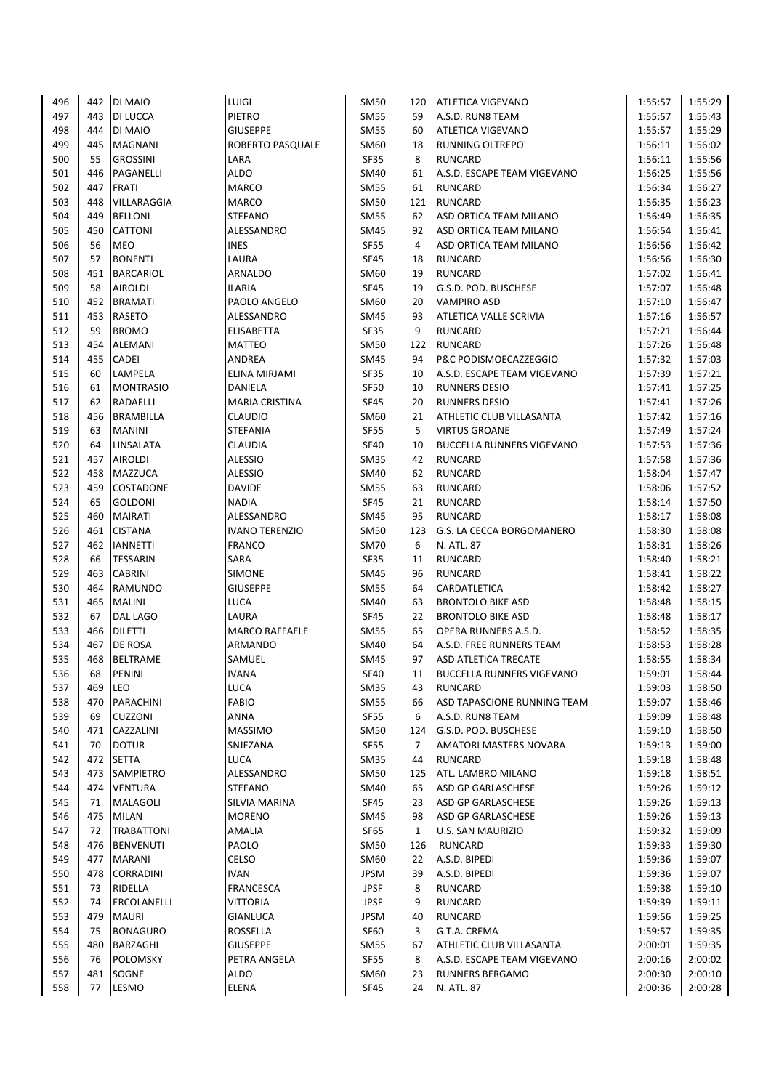| 496        | 442        | <b>DI MAIO</b>                     | LUIGI                               | SM50                       | 120          | <b>ATLETICA VIGEVANO</b>                                 | 1:55:57            | 1:55:29            |
|------------|------------|------------------------------------|-------------------------------------|----------------------------|--------------|----------------------------------------------------------|--------------------|--------------------|
| 497        | 443        | <b>DI LUCCA</b>                    | PIETRO                              | <b>SM55</b>                | 59           | A.S.D. RUN8 TEAM                                         | 1:55:57            | 1:55:43            |
| 498        | 444        | DI MAIO                            | <b>GIUSEPPE</b>                     | SM55                       | 60           | <b>ATLETICA VIGEVANO</b>                                 | 1:55:57            | 1:55:29            |
| 499        | 445        | <b>MAGNANI</b>                     | <b>ROBERTO PASQUALE</b>             | SM60                       | 18           | RUNNING OLTREPO'                                         | 1:56:11            | 1:56:02            |
| 500        | 55         | <b>GROSSINI</b>                    | LARA                                | SF35                       | 8            | RUNCARD                                                  | 1:56:11            | 1:55:56            |
| 501        | 446        | PAGANELLI                          | <b>ALDO</b>                         | SM40                       | 61           | A.S.D. ESCAPE TEAM VIGEVANO                              | 1:56:25            | 1:55:56            |
| 502        | 447        | <b>FRATI</b>                       | <b>MARCO</b>                        | <b>SM55</b>                | 61           | <b>RUNCARD</b>                                           | 1:56:34            | 1:56:27            |
| 503        | 448        | VILLARAGGIA                        | <b>MARCO</b>                        | SM50                       | 121          | <b>RUNCARD</b>                                           | 1:56:35            | 1:56:23            |
| 504        | 449        | <b>BELLONI</b>                     | <b>STEFANO</b>                      | SM55                       | 62           | ASD ORTICA TEAM MILANO                                   | 1:56:49            | 1:56:35            |
| 505        | 450        | <b>CATTONI</b>                     | ALESSANDRO                          | SM45                       | 92           | ASD ORTICA TEAM MILANO                                   | 1:56:54            | 1:56:41            |
| 506        | 56         | <b>MEO</b>                         | <b>INES</b>                         | <b>SF55</b>                | 4            | ASD ORTICA TEAM MILANO                                   | 1:56:56            | 1:56:42            |
| 507        | 57         | <b>BONENTI</b>                     | LAURA                               | <b>SF45</b>                | 18           | <b>RUNCARD</b>                                           | 1:56:56            | 1:56:30            |
| 508        |            | 451 BARCARIOL                      | ARNALDO                             | SM60                       | 19           | <b>RUNCARD</b>                                           | 1:57:02            | 1:56:41            |
| 509        | 58         | <b>AIROLDI</b>                     | <b>ILARIA</b>                       | <b>SF45</b>                | 19           | G.S.D. POD. BUSCHESE                                     | 1:57:07            | 1:56:48            |
| 510        | 452        | <b>BRAMATI</b>                     | PAOLO ANGELO                        | SM60                       | 20           | <b>VAMPIRO ASD</b>                                       | 1:57:10            | 1:56:47            |
| 511        | 453        | <b>RASETO</b>                      | ALESSANDRO                          | <b>SM45</b>                | 93           | ATLETICA VALLE SCRIVIA                                   | 1:57:16            | 1:56:57            |
| 512        | 59         | <b>BROMO</b>                       | <b>ELISABETTA</b>                   | <b>SF35</b>                | 9            | <b>RUNCARD</b>                                           | 1:57:21            | 1:56:44            |
| 513        | 454        | <b>ALEMANI</b>                     | <b>MATTEO</b>                       | <b>SM50</b>                | 122          | <b>RUNCARD</b>                                           | 1:57:26            | 1:56:48            |
| 514        | 455        | <b>CADEI</b>                       | ANDREA                              | SM45                       | 94           | P&C PODISMOECAZZEGGIO                                    | 1:57:32            | 1:57:03            |
| 515        | 60         | LAMPELA                            | ELINA MIRJAMI                       | SF35                       | 10           | A.S.D. ESCAPE TEAM VIGEVANO                              | 1:57:39            | 1:57:21            |
| 516        | 61         | <b>MONTRASIO</b>                   | DANIELA                             | SF50                       | 10           | <b>RUNNERS DESIO</b>                                     | 1:57:41            | 1:57:25            |
| 517        | 62         | RADAELLI                           | <b>MARIA CRISTINA</b>               | <b>SF45</b>                | 20           | <b>RUNNERS DESIO</b>                                     | 1:57:41            | 1:57:26            |
| 518        | 456        |                                    | <b>CLAUDIO</b>                      |                            |              | ATHLETIC CLUB VILLASANTA                                 |                    | 1:57:16            |
|            | 63         | <b>BRAMBILLA</b>                   |                                     | SM60<br><b>SF55</b>        | 21<br>5      |                                                          | 1:57:42            | 1:57:24            |
| 519<br>520 | 64         | <b>MANINI</b>                      | STEFANIA<br><b>CLAUDIA</b>          | <b>SF40</b>                | 10           | <b>VIRTUS GROANE</b><br><b>BUCCELLA RUNNERS VIGEVANO</b> | 1:57:49            |                    |
|            |            | LINSALATA                          |                                     |                            |              |                                                          | 1:57:53            | 1:57:36            |
| 521<br>522 | 457        | <b>AIROLDI</b>                     | <b>ALESSIO</b><br><b>ALESSIO</b>    | <b>SM35</b>                | 42           | <b>RUNCARD</b>                                           | 1:57:58            | 1:57:36<br>1:57:47 |
|            | 458<br>459 | <b>MAZZUCA</b>                     |                                     | SM40                       | 62           | <b>RUNCARD</b>                                           | 1:58:04            |                    |
| 523<br>524 | 65         | <b>COSTADONE</b><br><b>GOLDONI</b> | <b>DAVIDE</b><br><b>NADIA</b>       | SM55<br><b>SF45</b>        | 63<br>21     | <b>RUNCARD</b><br><b>RUNCARD</b>                         | 1:58:06<br>1:58:14 | 1:57:52<br>1:57:50 |
| 525        | 460        |                                    |                                     |                            |              |                                                          |                    | 1:58:08            |
| 526        | 461        | <b>MAIRATI</b>                     | ALESSANDRO<br><b>IVANO TERENZIO</b> | SM45<br><b>SM50</b>        | 95           | <b>RUNCARD</b>                                           | 1:58:17            | 1:58:08            |
|            | 462        | <b>CISTANA</b>                     |                                     |                            | 123          | G.S. LA CECCA BORGOMANERO                                | 1:58:30            |                    |
| 527<br>528 | 66         | <b>IANNETTI</b>                    | <b>FRANCO</b><br>SARA               | SM70                       | 6            | N. ATL. 87                                               | 1:58:31            | 1:58:26<br>1:58:21 |
| 529        | 463        | <b>TESSARIN</b><br><b>CABRINI</b>  | <b>SIMONE</b>                       | SF35                       | 11<br>96     | <b>RUNCARD</b>                                           | 1:58:40            | 1:58:22            |
| 530        | 464        |                                    | <b>GIUSEPPE</b>                     | SM45                       |              | <b>RUNCARD</b>                                           | 1:58:41            | 1:58:27            |
| 531        | 465        | <b>RAMUNDO</b>                     | <b>LUCA</b>                         | <b>SM55</b>                | 64           | CARDATLETICA<br><b>BRONTOLO BIKE ASD</b>                 | 1:58:42            |                    |
| 532        | 67         | <b>MALINI</b>                      | LAURA                               | SM40                       | 63           |                                                          | 1:58:48            | 1:58:15            |
| 533        | 466        | DAL LAGO                           | <b>MARCO RAFFAELE</b>               | <b>SF45</b><br><b>SM55</b> | 22<br>65     | <b>BRONTOLO BIKE ASD</b>                                 | 1:58:48            | 1:58:17            |
|            | 467        | <b>DILETTI</b><br><b>DE ROSA</b>   | <b>ARMANDO</b>                      |                            | 64           | OPERA RUNNERS A.S.D.                                     | 1:58:52            | 1:58:35            |
| 534        |            |                                    |                                     | <b>SM40</b>                | 97           | A.S.D. FREE RUNNERS TEAM                                 | 1:58:53            | 1:58:28            |
| 535        | 468        | <b>BELTRAME</b>                    | SAMUEL                              | <b>SM45</b>                |              | <b>ASD ATLETICA TRECATE</b>                              | 1:58:55            | 1:58:34            |
| 536        | 68         | PENINI                             | <b>IVANA</b>                        | <b>SF40</b>                | 11           | <b>BUCCELLA RUNNERS VIGEVANO</b>                         | 1:59:01            | 1:58:44            |
| 537        | 469        | <b>LEO</b>                         | <b>LUCA</b>                         | SM35                       | 43           | <b>RUNCARD</b>                                           | 1:59:03            | 1:58:50            |
| 538        | 470        | PARACHINI                          | <b>FABIO</b>                        | <b>SM55</b>                | 66           | ASD TAPASCIONE RUNNING TEAM                              | 1:59:07            | 1:58:46            |
| 539        | 69         | <b>CUZZONI</b>                     | <b>ANNA</b>                         | <b>SF55</b>                | 6            | A.S.D. RUN8 TEAM                                         | 1:59:09            | 1:58:48            |
| 540        | 471        | CAZZALINI                          | <b>MASSIMO</b>                      | <b>SM50</b>                | 124          | G.S.D. POD. BUSCHESE                                     | 1:59:10            | 1:58:50            |
| 541        | 70         | <b>DOTUR</b>                       | SNJEZANA                            | SF55                       | 7            | AMATORI MASTERS NOVARA                                   | 1:59:13            | 1:59:00            |
| 542        | 472        | SETTA                              | LUCA                                | <b>SM35</b>                | 44           | RUNCARD                                                  | 1:59:18            | 1:58:48            |
| 543        | 473        | <b>SAMPIETRO</b>                   | ALESSANDRO                          | SM50                       | 125          | ATL. LAMBRO MILANO                                       | 1:59:18            | 1:58:51            |
| 544        | 474        | <b>VENTURA</b>                     | STEFANO                             | SM40                       | 65           | ASD GP GARLASCHESE                                       | 1:59:26            | 1:59:12            |
| 545        | 71         | <b>MALAGOLI</b>                    | SILVIA MARINA                       | SF45                       | 23           | ASD GP GARLASCHESE                                       | 1:59:26            | 1:59:13            |
| 546        |            | 475   MILAN                        | <b>MORENO</b>                       | SM45                       | 98           | ASD GP GARLASCHESE                                       | 1:59:26            | 1:59:13            |
| 547        | 72         | <b>TRABATTONI</b>                  | AMALIA                              | SF65                       | $\mathbf{1}$ | U.S. SAN MAURIZIO                                        | 1:59:32            | 1:59:09            |
| 548        |            | 476 BENVENUTI                      | PAOLO                               | SM50                       | 126          | <b>RUNCARD</b>                                           | 1:59:33            | 1:59:30            |
| 549        | 477        | <b>MARANI</b>                      | CELSO                               | SM60                       | 22           | A.S.D. BIPEDI                                            | 1:59:36            | 1:59:07            |
| 550        | 478        | <b>CORRADINI</b>                   | <b>IVAN</b>                         | <b>JPSM</b>                | 39           | A.S.D. BIPEDI                                            | 1:59:36            | 1:59:07            |
| 551        | 73         | <b>RIDELLA</b>                     | <b>FRANCESCA</b>                    | <b>JPSF</b>                | 8            | <b>RUNCARD</b>                                           | 1:59:38            | 1:59:10            |
| 552        | 74         | ERCOLANELLI                        | VITTORIA                            | <b>JPSF</b>                | 9            | <b>RUNCARD</b>                                           | 1:59:39            | 1:59:11            |
| 553        | 479        | <b>MAURI</b>                       | <b>GIANLUCA</b>                     | <b>JPSM</b>                | 40           | <b>RUNCARD</b>                                           | 1:59:56            | 1:59:25            |
| 554        | 75         | <b>BONAGURO</b>                    | ROSSELLA                            | SF60                       | 3            | G.T.A. CREMA                                             | 1:59:57            | 1:59:35            |
| 555        | 480        | BARZAGHI                           | <b>GIUSEPPE</b>                     | <b>SM55</b>                | 67           | ATHLETIC CLUB VILLASANTA                                 | 2:00:01            | 1:59:35            |
| 556        | 76         | <b>POLOMSKY</b>                    | PETRA ANGELA                        | SF55                       | 8            | A.S.D. ESCAPE TEAM VIGEVANO                              | 2:00:16            | 2:00:02            |
| 557        | 481        | SOGNE                              | ALDO                                | SM60                       | 23           | <b>RUNNERS BERGAMO</b>                                   | 2:00:30            | 2:00:10            |
| 558        | 77         | LESMO                              | <b>ELENA</b>                        | <b>SF45</b>                | 24           | N. ATL. 87                                               | 2:00:36            | 2:00:28            |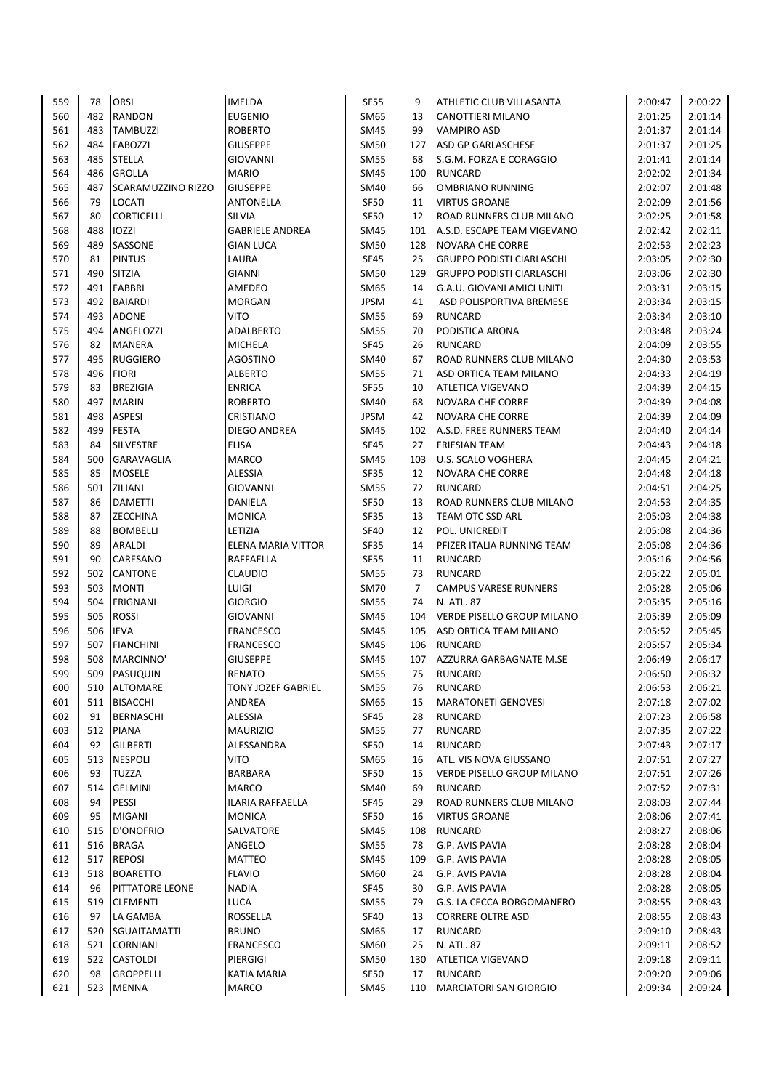| 559 | 78         | <b>ORSI</b>         | <b>IMELDA</b>             | SF55        | 9   | ATHLETIC CLUB VILLASANTA                            | 2:00:47 | 2:00:22 |
|-----|------------|---------------------|---------------------------|-------------|-----|-----------------------------------------------------|---------|---------|
| 560 | 482        | <b>RANDON</b>       | <b>EUGENIO</b>            | SM65        | 13  | CANOTTIERI MILANO                                   | 2:01:25 | 2:01:14 |
| 561 | 483        | <b>TAMBUZZI</b>     | <b>ROBERTO</b>            | SM45        | 99  | <b>VAMPIRO ASD</b>                                  | 2:01:37 | 2:01:14 |
| 562 | 484        | <b>FABOZZI</b>      | <b>GIUSEPPE</b>           | <b>SM50</b> | 127 | <b>ASD GP GARLASCHESE</b>                           | 2:01:37 | 2:01:25 |
| 563 | 485        | <b>STELLA</b>       | <b>GIOVANNI</b>           | <b>SM55</b> | 68  | S.G.M. FORZA E CORAGGIO                             | 2:01:41 | 2:01:14 |
| 564 | 486        | <b>GROLLA</b>       | <b>MARIO</b>              | SM45        | 100 | <b>RUNCARD</b>                                      | 2:02:02 | 2:01:34 |
| 565 | 487        | SCARAMUZZINO RIZZO  | <b>GIUSEPPE</b>           | SM40        | 66  | <b>OMBRIANO RUNNING</b>                             | 2:02:07 | 2:01:48 |
| 566 | 79         | LOCATI              | <b>ANTONELLA</b>          | SF50        | 11  | <b>VIRTUS GROANE</b>                                | 2:02:09 | 2:01:56 |
| 567 | 80         | <b>CORTICELLI</b>   | SILVIA                    | SF50        | 12  | ROAD RUNNERS CLUB MILANO                            | 2:02:25 | 2:01:58 |
| 568 | 488        | <b>IOZZI</b>        | <b>GABRIELE ANDREA</b>    | <b>SM45</b> | 101 | A.S.D. ESCAPE TEAM VIGEVANO                         | 2:02:42 | 2:02:11 |
| 569 | 489        | SASSONE             | <b>GIAN LUCA</b>          | <b>SM50</b> | 128 | <b>NOVARA CHE CORRE</b>                             | 2:02:53 | 2:02:23 |
| 570 | 81         | <b>PINTUS</b>       | LAURA                     | <b>SF45</b> | 25  | <b>GRUPPO PODISTI CIARLASCHI</b>                    | 2:03:05 | 2:02:30 |
| 571 | 490        | <b>SITZIA</b>       | GIANNI                    | <b>SM50</b> | 129 | <b>GRUPPO PODISTI CIARLASCHI</b>                    | 2:03:06 | 2:02:30 |
| 572 | 491        | <b>FABBRI</b>       | AMEDEO                    | SM65        | 14  | G.A.U. GIOVANI AMICI UNITI                          | 2:03:31 | 2:03:15 |
| 573 | 492        | <b>BAIARDI</b>      | <b>MORGAN</b>             | <b>JPSM</b> | 41  | ASD POLISPORTIVA BREMESE                            | 2:03:34 | 2:03:15 |
| 574 | 493        | <b>ADONE</b>        | VITO                      | <b>SM55</b> | 69  | <b>RUNCARD</b>                                      | 2:03:34 | 2:03:10 |
| 575 | 494        | ANGELOZZI           | ADALBERTO                 | <b>SM55</b> | 70  | PODISTICA ARONA                                     | 2:03:48 | 2:03:24 |
| 576 | 82         | <b>MANERA</b>       | <b>MICHELA</b>            | <b>SF45</b> | 26  | <b>RUNCARD</b>                                      | 2:04:09 | 2:03:55 |
| 577 | 495        | <b>RUGGIERO</b>     | <b>AGOSTINO</b>           | SM40        | 67  | ROAD RUNNERS CLUB MILANO                            | 2:04:30 | 2:03:53 |
| 578 | 496        | <b>FIORI</b>        | <b>ALBERTO</b>            | <b>SM55</b> | 71  | ASD ORTICA TEAM MILANO                              | 2:04:33 | 2:04:19 |
| 579 | 83         | <b>BREZIGIA</b>     | <b>ENRICA</b>             | <b>SF55</b> | 10  | <b>ATLETICA VIGEVANO</b>                            | 2:04:39 | 2:04:15 |
| 580 | 497        | <b>MARIN</b>        | <b>ROBERTO</b>            | SM40        | 68  |                                                     | 2:04:39 | 2:04:08 |
|     |            |                     |                           |             |     | <b>NOVARA CHE CORRE</b>                             |         | 2:04:09 |
| 581 | 498<br>499 | <b>ASPESI</b>       | CRISTIANO                 | <b>JPSM</b> | 42  | <b>NOVARA CHE CORRE</b><br>A.S.D. FREE RUNNERS TEAM | 2:04:39 |         |
| 582 |            | <b>FESTA</b>        | DIEGO ANDREA              | SM45        | 102 |                                                     | 2:04:40 | 2:04:14 |
| 583 | 84         | <b>SILVESTRE</b>    | <b>ELISA</b>              | <b>SF45</b> | 27  | <b>FRIESIAN TEAM</b>                                | 2:04:43 | 2:04:18 |
| 584 | 500        | GARAVAGLIA          | MARCO                     | <b>SM45</b> | 103 | <b>U.S. SCALO VOGHERA</b>                           | 2:04:45 | 2:04:21 |
| 585 | 85         | <b>MOSELE</b>       | <b>ALESSIA</b>            | <b>SF35</b> | 12  | <b>NOVARA CHE CORRE</b>                             | 2:04:48 | 2:04:18 |
| 586 | 501        | ZILIANI             | <b>GIOVANNI</b>           | SM55        | 72  | <b>RUNCARD</b>                                      | 2:04:51 | 2:04:25 |
| 587 | 86         | <b>DAMETTI</b>      | DANIELA                   | SF50        | 13  | ROAD RUNNERS CLUB MILANO                            | 2:04:53 | 2:04:35 |
| 588 | 87         | <b>ZECCHINA</b>     | <b>MONICA</b>             | SF35        | 13  | TEAM OTC SSD ARL                                    | 2:05:03 | 2:04:38 |
| 589 | 88         | <b>BOMBELLI</b>     | LETIZIA                   | <b>SF40</b> | 12  | POL. UNICREDIT                                      | 2:05:08 | 2:04:36 |
| 590 | 89         | ARALDI              | ELENA MARIA VITTOR        | SF35        | 14  | PFIZER ITALIA RUNNING TEAM                          | 2:05:08 | 2:04:36 |
| 591 | 90         | CARESANO            | RAFFAELLA                 | <b>SF55</b> | 11  | <b>RUNCARD</b>                                      | 2:05:16 | 2:04:56 |
| 592 | 502        | <b>CANTONE</b>      | <b>CLAUDIO</b>            | SM55        | 73  | <b>RUNCARD</b>                                      | 2:05:22 | 2:05:01 |
| 593 | 503        | <b>MONTI</b>        | LUIGI                     | SM70        | 7   | <b>CAMPUS VARESE RUNNERS</b>                        | 2:05:28 | 2:05:06 |
| 594 | 504        | <b>FRIGNANI</b>     | <b>GIORGIO</b>            | <b>SM55</b> | 74  | N. ATL, 87                                          | 2:05:35 | 2:05:16 |
| 595 | 505        | <b>ROSSI</b>        | <b>GIOVANNI</b>           | SM45        | 104 | <b>VERDE PISELLO GROUP MILANO</b>                   | 2:05:39 | 2:05:09 |
| 596 | 506        | <b>IEVA</b>         | <b>FRANCESCO</b>          | SM45        | 105 | ASD ORTICA TEAM MILANO                              | 2:05:52 | 2:05:45 |
| 597 | 507        | <b>FIANCHINI</b>    | <b>FRANCESCO</b>          | SM45        | 106 | <b>RUNCARD</b>                                      | 2:05:57 | 2:05:34 |
| 598 | 508        | MARCINNO'           | <b>GIUSEPPE</b>           | <b>SM45</b> | 107 | <b>AZZURRA GARBAGNATE M.SE</b>                      | 2:06:49 | 2:06:17 |
| 599 |            | 509 PASUQUIN        | <b>RENATO</b>             | <b>SM55</b> | 75  | <b>RUNCARD</b>                                      | 2:06:50 | 2:06:32 |
| 600 | 510        | <b>ALTOMARE</b>     | <b>TONY JOZEF GABRIEL</b> | SM55        | 76  | <b>RUNCARD</b>                                      | 2:06:53 | 2:06:21 |
| 601 | 511        | <b>BISACCHI</b>     | ANDREA                    | SM65        | 15  | <b>MARATONETI GENOVESI</b>                          | 2:07:18 | 2:07:02 |
| 602 | 91         | <b>BERNASCHI</b>    | ALESSIA                   | SF45        | 28  | <b>RUNCARD</b>                                      | 2:07:23 | 2:06:58 |
| 603 |            | 512 PIANA           | <b>MAURIZIO</b>           | <b>SM55</b> | 77  | <b>RUNCARD</b>                                      | 2:07:35 | 2:07:22 |
| 604 | 92         | <b>GILBERTI</b>     | ALESSANDRA                | SF50        | 14  | <b>RUNCARD</b>                                      | 2:07:43 | 2:07:17 |
| 605 | 513        | <b>NESPOLI</b>      | <b>VITO</b>               | SM65        | 16  | ATL. VIS NOVA GIUSSANO                              | 2:07:51 | 2:07:27 |
| 606 | 93         | TUZZA               | BARBARA                   | SF50        | 15  | VERDE PISELLO GROUP MILANO                          | 2:07:51 | 2:07:26 |
| 607 | 514        | <b>GELMINI</b>      | <b>MARCO</b>              | SM40        | 69  | <b>RUNCARD</b>                                      | 2:07:52 | 2:07:31 |
| 608 | 94         | PESSI               | ILARIA RAFFAELLA          | SF45        | 29  | ROAD RUNNERS CLUB MILANO                            | 2:08:03 | 2:07:44 |
| 609 | 95         | <b>MIGANI</b>       | <b>MONICA</b>             | SF50        | 16  | <b>VIRTUS GROANE</b>                                | 2:08:06 | 2:07:41 |
| 610 | 515        | D'ONOFRIO           | SALVATORE                 | SM45        | 108 | <b>RUNCARD</b>                                      | 2:08:27 | 2:08:06 |
| 611 | 516        | <b>BRAGA</b>        | ANGELO                    | <b>SM55</b> | 78  | G.P. AVIS PAVIA                                     | 2:08:28 | 2:08:04 |
| 612 | 517        | <b>REPOSI</b>       | MATTEO                    | SM45        | 109 | G.P. AVIS PAVIA                                     | 2:08:28 | 2:08:05 |
| 613 | 518        | <b>BOARETTO</b>     | <b>FLAVIO</b>             | SM60        | 24  | G.P. AVIS PAVIA                                     | 2:08:28 | 2:08:04 |
| 614 | 96         | PITTATORE LEONE     | <b>NADIA</b>              | <b>SF45</b> | 30  | G.P. AVIS PAVIA                                     | 2:08:28 | 2:08:05 |
| 615 | 519        | <b>CLEMENTI</b>     | LUCA                      | <b>SM55</b> | 79  | G.S. LA CECCA BORGOMANERO                           | 2:08:55 | 2:08:43 |
| 616 | 97         | LA GAMBA            | ROSSELLA                  | <b>SF40</b> | 13  | <b>CORRERE OLTRE ASD</b>                            | 2:08:55 | 2:08:43 |
| 617 | 520        | <b>SGUAITAMATTI</b> | <b>BRUNO</b>              | SM65        | 17  | <b>RUNCARD</b>                                      | 2:09:10 | 2:08:43 |
| 618 | 521        | <b>CORNIANI</b>     | <b>FRANCESCO</b>          | SM60        | 25  | N. ATL. 87                                          | 2:09:11 | 2:08:52 |
| 619 | 522        | <b>CASTOLDI</b>     | PIERGIGI                  | SM50        | 130 | <b>ATLETICA VIGEVANO</b>                            | 2:09:18 | 2:09:11 |
| 620 | 98         | <b>GROPPELLI</b>    | KATIA MARIA               | SF50        | 17  | <b>RUNCARD</b>                                      | 2:09:20 | 2:09:06 |
| 621 |            | 523 MENNA           | <b>MARCO</b>              | SM45        | 110 | MARCIATORI SAN GIORGIO                              | 2:09:34 | 2:09:24 |